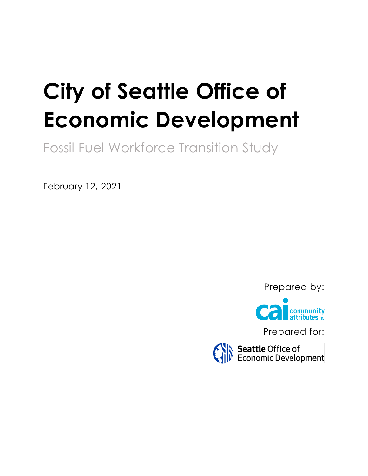# **City of Seattle Office of Economic Development**

Fossil Fuel Workforce Transition Study

February 12, 2021

Prepared by:



Prepared for:

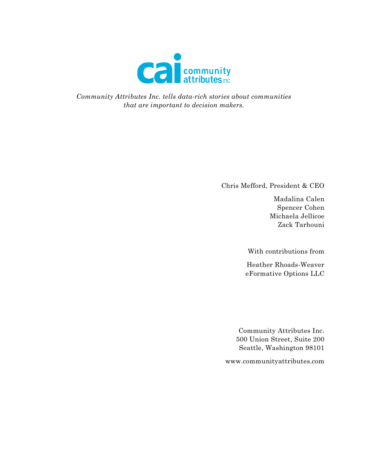

*Community Attributes Inc. tells data-rich stories about communities that are important to decision makers.*

Chris Mefford, President & CEO

Madalina Calen Spencer Cohen Michaela Jellicoe Zack Tarhouni

With contributions from

Heather Rhoads-Weaver eFormative Options LLC

Community Attributes Inc. 500 Union Street, Suite 200 Seattle, Washington 98101

www.communityattributes.com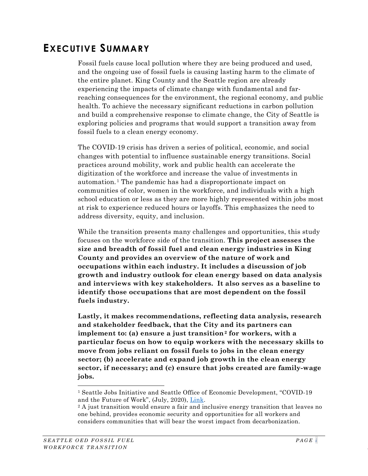# <span id="page-2-2"></span>**EXECUTIVE SUMMARY**

Fossil fuels cause local pollution where they are being produced and used, and the ongoing use of fossil fuels is causing lasting harm to the climate of the entire planet. King County and the Seattle region are already experiencing the impacts of climate change with fundamental and farreaching consequences for the environment, the regional economy, and public health. To achieve the necessary significant reductions in carbon pollution and build a comprehensive response to climate change, the City of Seattle is exploring policies and programs that would support a transition away from fossil fuels to a clean energy economy.

The COVID-19 crisis has driven a series of political, economic, and social changes with potential to influence sustainable energy transitions. Social practices around mobility, work and public health can accelerate the digitization of the workforce and increase the value of investments in automation. [1](#page-2-0) The pandemic has had a disproportionate impact on communities of color, women in the workforce, and individuals with a high school education or less as they are more highly represented within jobs most at risk to experience reduced hours or layoffs. This emphasizes the need to address diversity, equity, and inclusion.

While the transition presents many challenges and opportunities, this study focuses on the workforce side of the transition. **This project assesses the size and breadth of fossil fuel and clean energy industries in King County and provides an overview of the nature of work and occupations within each industry. It includes a discussion of job growth and industry outlook for clean energy based on data analysis and interviews with key stakeholders. It also serves as a baseline to identify those occupations that are most dependent on the fossil fuels industry.**

**Lastly, it makes recommendations, reflecting data analysis, research and stakeholder feedback, that the City and its partners can implement to: (a) ensure a just transition[2](#page-2-1) for workers, with a particular focus on how to equip workers with the necessary skills to move from jobs reliant on fossil fuels to jobs in the clean energy sector; (b) accelerate and expand job growth in the clean energy sector, if necessary; and (c) ensure that jobs created are family-wage jobs.**

<span id="page-2-0"></span><sup>1</sup> Seattle Jobs Initiative and Seattle Office of Economic Development, "COVID-19 and the Future of Work", (July, 2020), [Link.](http://www.seattle.gov/Documents/Departments/economicDevelopment/workforce/Network%20Economy-COVID19%20And%20The%20Future%20Of%20Work.pdf)

<span id="page-2-1"></span><sup>&</sup>lt;sup>2</sup> A just transition would ensure a fair and inclusive energy transition that leaves no one behind, provides economic security and opportunities for all workers and considers communities that will bear the worst impact from decarbonization.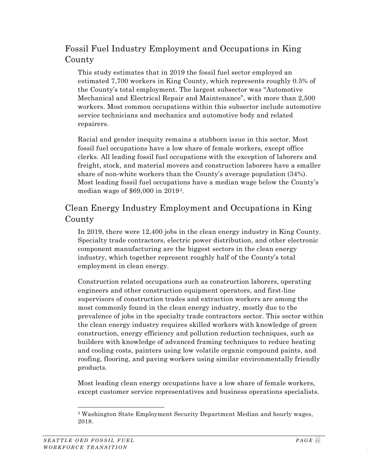# Fossil Fuel Industry Employment and Occupations in King County

This study estimates that in 2019 the fossil fuel sector employed an estimated 7,700 workers in King County, which represents roughly 0.5% of the County's total employment. The largest subsector was "Automotive Mechanical and Electrical Repair and Maintenance", with more than 2,500 workers. Most common occupations within this subsector include automotive service technicians and mechanics and automotive body and related repairers.

Racial and gender inequity remains a stubborn issue in this sector. Most fossil fuel occupations have a low share of female workers, except office clerks. All leading fossil fuel occupations with the exception of laborers and freight, stock, and material movers and construction laborers have a smaller share of non-white workers than the County's average population (34%). Most leading fossil fuel occupations have a median wage below the County's median wage of \$69,000 in 2019[3](#page-3-0).

# Clean Energy Industry Employment and Occupations in King County

In 2019, there were 12,400 jobs in the clean energy industry in King County. Specialty trade contractors, electric power distribution, and other electronic component manufacturing are the biggest sectors in the clean energy industry, which together represent roughly half of the County's total employment in clean energy.

Construction related occupations such as construction laborers, operating engineers and other construction equipment operators, and first-line supervisors of construction trades and extraction workers are among the most commonly found in the clean energy industry, mostly due to the prevalence of jobs in the specialty trade contractors sector. This sector within the clean energy industry requires skilled workers with knowledge of green construction, energy efficiency and pollution reduction techniques, such as builders with knowledge of advanced framing techniques to reduce heating and cooling costs, painters using low volatile organic compound paints, and roofing, flooring, and paving workers using similar environmentally friendly products.

Most leading clean energy occupations have a low share of female workers, except customer service representatives and business operations specialists.

<span id="page-3-0"></span><sup>3</sup> Washington State Employment Security Department Median and hourly wages, 2018.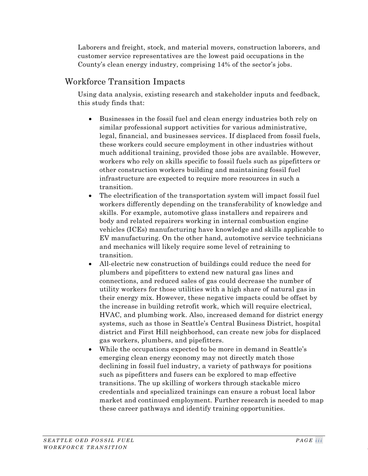Laborers and freight, stock, and material movers, construction laborers, and customer service representatives are the lowest paid occupations in the County's clean energy industry, comprising 14% of the sector's jobs.

## Workforce Transition Impacts

Using data analysis, existing research and stakeholder inputs and feedback, this study finds that:

- Businesses in the fossil fuel and clean energy industries both rely on similar professional support activities for various administrative, legal, financial, and businesses services. If displaced from fossil fuels, these workers could secure employment in other industries without much additional training, provided those jobs are available. However, workers who rely on skills specific to fossil fuels such as pipefitters or other construction workers building and maintaining fossil fuel infrastructure are expected to require more resources in such a transition.
- The electrification of the transportation system will impact fossil fuel workers differently depending on the transferability of knowledge and skills. For example, automotive glass installers and repairers and body and related repairers working in internal combustion engine vehicles (ICEs) manufacturing have knowledge and skills applicable to EV manufacturing. On the other hand, automotive service technicians and mechanics will likely require some level of retraining to transition.
- All-electric new construction of buildings could reduce the need for plumbers and pipefitters to extend new natural gas lines and connections, and reduced sales of gas could decrease the number of utility workers for those utilities with a high share of natural gas in their energy mix. However, these negative impacts could be offset by the increase in building retrofit work, which will require electrical, HVAC, and plumbing work. Also, increased demand for district energy systems, such as those in Seattle's Central Business District, hospital district and First Hill neighborhood, can create new jobs for displaced gas workers, plumbers, and pipefitters.
- While the occupations expected to be more in demand in Seattle's emerging clean energy economy may not directly match those declining in fossil fuel industry, a variety of pathways for positions such as pipefitters and fusers can be explored to map effective transitions. The up skilling of workers through stackable micro credentials and specialized trainings can ensure a robust local labor market and continued employment. Further research is needed to map these career pathways and identify training opportunities.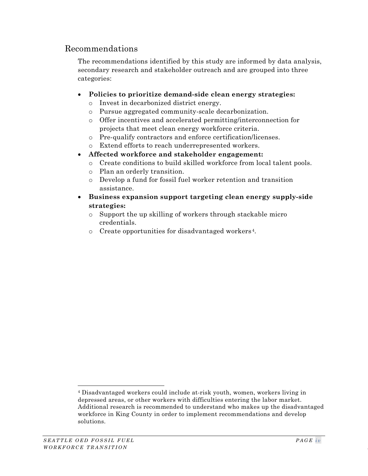## Recommendations

The recommendations identified by this study are informed by data analysis, secondary research and stakeholder outreach and are grouped into three categories:

- **Policies to prioritize demand-side clean energy strategies:**
	- o Invest in decarbonized district energy.
	- o Pursue aggregated community-scale decarbonization.
	- o Offer incentives and accelerated permitting/interconnection for projects that meet clean energy workforce criteria.
	- o Pre-qualify contractors and enforce certification/licenses.
	- o Extend efforts to reach underrepresented workers.
- **Affected workforce and stakeholder engagement:**
	- o Create conditions to build skilled workforce from local talent pools.
	- o Plan an orderly transition.
	- o Develop a fund for fossil fuel worker retention and transition assistance.
- **Business expansion support targeting clean energy supply-side strategies:**
	- o Support the up skilling of workers through stackable micro credentials.
	- o Create opportunities for disadvantaged workers [4](#page-5-0).

<span id="page-5-0"></span><sup>4</sup> Disadvantaged workers could include at-risk youth, women, workers living in depressed areas, or other workers with difficulties entering the labor market. Additional research is recommended to understand who makes up the disadvantaged workforce in King County in order to implement recommendations and develop solutions.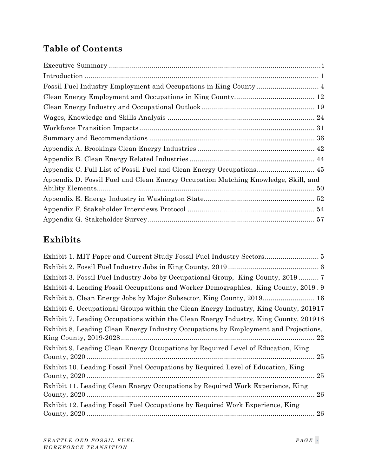# **Table of Contents**

| Fossil Fuel Industry Employment and Occupations in King County 4                   |  |
|------------------------------------------------------------------------------------|--|
|                                                                                    |  |
|                                                                                    |  |
|                                                                                    |  |
|                                                                                    |  |
|                                                                                    |  |
|                                                                                    |  |
|                                                                                    |  |
| Appendix C. Full List of Fossil Fuel and Clean Energy Occupations 45               |  |
| Appendix D. Fossil Fuel and Clean Energy Occupation Matching Knowledge, Skill, and |  |
|                                                                                    |  |
|                                                                                    |  |
|                                                                                    |  |

# **Exhibits**

| Exhibit 3. Fossil Fuel Industry Jobs by Occupational Group, King County, 2019  7       |
|----------------------------------------------------------------------------------------|
| Exhibit 4. Leading Fossil Occupations and Worker Demographics, King County, 2019.9     |
| Exhibit 5. Clean Energy Jobs by Major Subsector, King County, 2019 16                  |
| Exhibit 6. Occupational Groups within the Clean Energy Industry, King County, 201917   |
| Exhibit 7. Leading Occupations within the Clean Energy Industry, King County, 201918   |
| Exhibit 8. Leading Clean Energy Industry Occupations by Employment and Projections,    |
| Exhibit 9. Leading Clean Energy Occupations by Required Level of Education, King       |
| Exhibit 10. Leading Fossil Fuel Occupations by Required Level of Education, King<br>25 |
| Exhibit 11. Leading Clean Energy Occupations by Required Work Experience, King<br>26   |
| Exhibit 12. Leading Fossil Fuel Occupations by Required Work Experience, King<br>26    |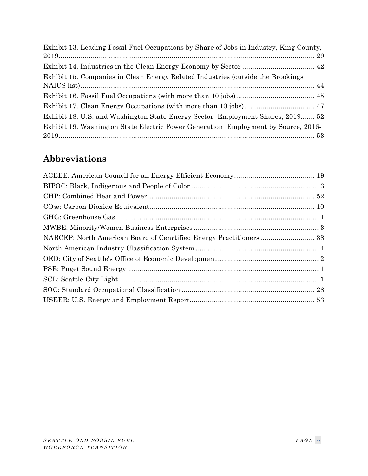| Exhibit 13. Leading Fossil Fuel Occupations by Share of Jobs in Industry, King County, |  |
|----------------------------------------------------------------------------------------|--|
|                                                                                        |  |
| Exhibit 15. Companies in Clean Energy Related Industries (outside the Brookings        |  |
|                                                                                        |  |
|                                                                                        |  |
| Exhibit 18. U.S. and Washington State Energy Sector Employment Shares, 2019 52         |  |
| Exhibit 19. Washington State Electric Power Generation Employment by Source, 2016-     |  |

# **Abbreviations**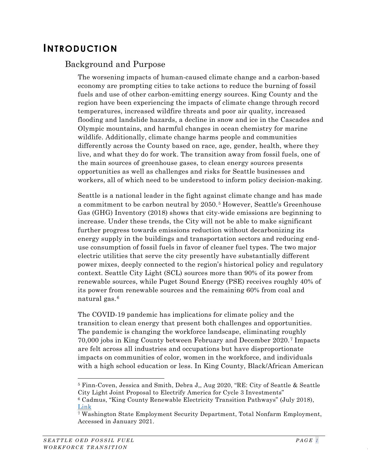# <span id="page-8-0"></span>**INTRODUCTION**

## Background and Purpose

The worsening impacts of human-caused climate change and a carbon-based economy are prompting cities to take actions to reduce the burning of fossil fuels and use of other carbon-emitting energy sources. King County and the region have been experiencing the impacts of climate change through record temperatures, increased wildfire threats and poor air quality, increased flooding and landslide hazards, a decline in snow and ice in the Cascades and Olympic mountains, and harmful changes in ocean chemistry for marine wildlife. Additionally, climate change harms people and communities differently across the County based on race, age, gender, health, where they live, and what they do for work. The transition away from fossil fuels, one of the main sources of greenhouse gases, to clean energy sources presents opportunities as well as challenges and risks for Seattle businesses and workers, all of which need to be understood to inform policy decision-making.

Seattle is a national leader in the fight against climate change and has made a commitment to be carbon neutral by 2050. [5](#page-8-1) However, Seattle's Greenhouse Gas (GHG) Inventory (2018) shows that city-wide emissions are beginning to increase. Under these trends, the City will not be able to make significant further progress towards emissions reduction without decarbonizing its energy supply in the buildings and transportation sectors and reducing enduse consumption of fossil fuels in favor of cleaner fuel types. The two major electric utilities that serve the city presently have substantially different power mixes, deeply connected to the region's historical policy and regulatory context. Seattle City Light (SCL) sources more than 90% of its power from renewable sources, while Puget Sound Energy (PSE) receives roughly 40% of its power from renewable sources and the remaining 60% from coal and natural gas. [6](#page-8-2)

The COVID-19 pandemic has implications for climate policy and the transition to clean energy that present both challenges and opportunities. The pandemic is changing the workforce landscape, eliminating roughly 70,000 jobs in King County between February and December 2020. [7](#page-8-3) Impacts are felt across all industries and occupations but have disproportionate impacts on communities of color, women in the workforce, and individuals with a high school education or less. In King County, Black/African American

<span id="page-8-1"></span><sup>5</sup> Finn-Coven, Jessica and Smith, Debra J,, Aug 2020, "RE: City of Seattle & Seattle City Light Joint Proposal to Electrify America for Cycle 3 Investments"

<span id="page-8-2"></span><sup>6</sup> Cadmus, "King County Renewable Electricity Transition Pathways" (July 2018), [Link](https://your.kingcounty.gov/dnrp/climate/documents/2018-KC-Renewable-Electricity-Transition-Pathways.pdf)

<span id="page-8-3"></span><sup>7</sup> Washington State Employment Security Department, Total Nonfarm Employment, Accessed in January 2021.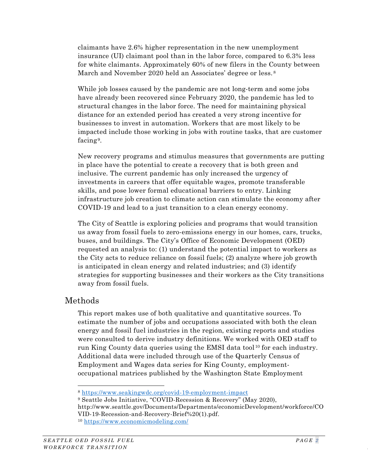claimants have 2.6% higher representation in the new unemployment insurance (UI) claimant pool than in the labor force, compared to 6.3% less for white claimants. Approximately 60% of new filers in the County between March and November 2020 held an Associates' degree or less.<sup>[8](#page-9-0)</sup>

While job losses caused by the pandemic are not long-term and some jobs have already been recovered since February 2020, the pandemic has led to structural changes in the labor force. The need for maintaining physical distance for an extended period has created a very strong incentive for businesses to invest in automation. Workers that are most likely to be impacted include those working in jobs with routine tasks, that are customer facing [9](#page-9-1).

New recovery programs and stimulus measures that governments are putting in place have the potential to create a recovery that is both green and inclusive. The current pandemic has only increased the urgency of investments in careers that offer equitable wages, promote transferable skills, and pose lower formal educational barriers to entry. Linking infrastructure job creation to climate action can stimulate the economy after COVID-19 and lead to a just transition to a clean energy economy.

The City of Seattle is exploring policies and programs that would transition us away from fossil fuels to zero-emissions energy in our homes, cars, trucks, buses, and buildings. The City's Office of Economic Development (OED) requested an analysis to: (1) understand the potential impact to workers as the City acts to reduce reliance on fossil fuels; (2) analyze where job growth is anticipated in clean energy and related industries; and (3) identify strategies for supporting businesses and their workers as the City transitions away from fossil fuels.

## Methods

This report makes use of both qualitative and quantitative sources. To estimate the number of jobs and occupations associated with both the clean energy and fossil fuel industries in the region, existing reports and studies were consulted to derive industry definitions. We worked with OED staff to run King County data queries using the EMSI data tool [10](#page-9-2) for each industry. Additional data were included through use of the Quarterly Census of Employment and Wages data series for King County, employmentoccupational matrices published by the Washington State Employment

<span id="page-9-0"></span><sup>8</sup> <https://www.seakingwdc.org/covid-19-employment-impact>

<sup>9</sup> Seattle Jobs Initiative, "COVID-Recession & Recovery" (May 2020),

<span id="page-9-1"></span>http://www.seattle.gov/Documents/Departments/economicDevelopment/workforce/CO VID-19-Recession-and-Recovery-Brief%20(1).pdf.

<span id="page-9-2"></span><sup>10</sup> <https://www.economicmodeling.com/>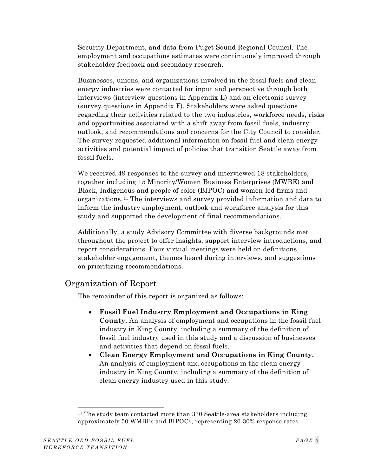Security Department, and data from Puget Sound Regional Council. The employment and occupations estimates were continuously improved through stakeholder feedback and secondary research.

Businesses, unions, and organizations involved in the fossil fuels and clean energy industries were contacted for input and perspective through both interviews (interview questions in Appendix E) and an electronic survey (survey questions in Appendix F). Stakeholders were asked questions regarding their activities related to the two industries, workforce needs, risks and opportunities associated with a shift away from fossil fuels, industry outlook, and recommendations and concerns for the City Council to consider. The survey requested additional information on fossil fuel and clean energy activities and potential impact of policies that transition Seattle away from fossil fuels.

We received 49 responses to the survey and interviewed 18 stakeholders, together including 15 Minority/Women Business Enterprises (MWBE) and Black, Indigenous and people of color (BIPOC) and women-led firms and organizations. [11](#page-10-0) The interviews and survey provided information and data to inform the industry employment, outlook and workforce analysis for this study and supported the development of final recommendations.

Additionally, a study Advisory Committee with diverse backgrounds met throughout the project to offer insights, support interview introductions, and report considerations. Four virtual meetings were held on definitions, stakeholder engagement, themes heard during interviews, and suggestions on prioritizing recommendations.

# Organization of Report

The remainder of this report is organized as follows:

- **Fossil Fuel Industry Employment and Occupations in King County.** An analysis of employment and occupations in the fossil fuel industry in King County, including a summary of the definition of fossil fuel industry used in this study and a discussion of businesses and activities that depend on fossil fuels.
- **Clean Energy Employment and Occupations in King County.**  An analysis of employment and occupations in the clean energy industry in King County, including a summary of the definition of clean energy industry used in this study.

<span id="page-10-0"></span><sup>11</sup> The study team contacted more than 330 Seattle-area stakeholders including approximately 50 WMBEs and BIPOCs, representing 20-30% response rates.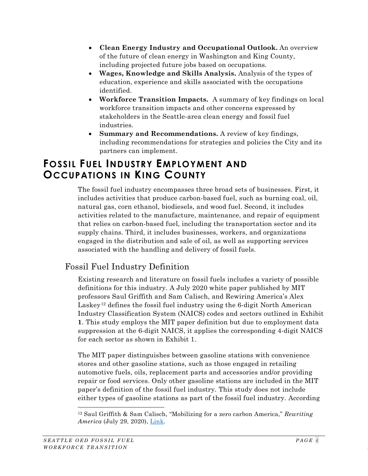- **Clean Energy Industry and Occupational Outlook.** An overview of the future of clean energy in Washington and King County, including projected future jobs based on occupations.
- **Wages, Knowledge and Skills Analysis.** Analysis of the types of education, experience and skills associated with the occupations identified.
- **Workforce Transition Impacts.** A summary of key findings on local workforce transition impacts and other concerns expressed by stakeholders in the Seattle-area clean energy and fossil fuel industries.
- **Summary and Recommendations.** A review of key findings, including recommendations for strategies and policies the City and its partners can implement.

# <span id="page-11-0"></span>**FOSSIL FUEL INDUSTRY EMPLOYMENT AND OCCUPATIONS IN KING COUNTY**

The fossil fuel industry encompasses three broad sets of businesses. First, it includes activities that produce carbon-based fuel, such as burning coal, oil, natural gas, corn ethanol, biodiesels, and wood fuel. Second, it includes activities related to the manufacture, maintenance, and repair of equipment that relies on carbon-based fuel, including the transportation sector and its supply chains. Third, it includes businesses, workers, and organizations engaged in the distribution and sale of oil, as well as supporting services associated with the handling and delivery of fossil fuels.

# Fossil Fuel Industry Definition

Existing research and literature on fossil fuels includes a variety of possible definitions for this industry. A July 2020 white paper published by MIT professors Saul Griffith and Sam Calisch, and Rewiring America's Alex Laskey<sup>[12](#page-11-1)</sup> defines the fossil fuel industry using the 6-digit North American Industry Classification System (NAICS) codes and sectors outlined in Exhibit **[1](#page-12-1)**. This study employs the MIT paper definition but due to employment data suppression at the 6-digit NAICS, it applies the corresponding 4-digit NAICS for each sector as shown in Exhibit [1.](#page-12-1)

The MIT paper distinguishes between gasoline stations with convenience stores and other gasoline stations, such as those engaged in retailing automotive fuels, oils, replacement parts and accessories and/or providing repair or food services. Only other gasoline stations are included in the MIT paper's definition of the fossil fuel industry. This study does not include either types of gasoline stations as part of the fossil fuel industry. According

<span id="page-11-1"></span><sup>12</sup> Saul Griffith & Sam Calisch, "Mobilizing for a zero carbon America," *Rewriting America* (July 29, 2020), [Link.](https://static1.squarespace.com/static/5e540e7fb9d1816038da0314/t/5f209173294b6f5ee41ea278/1595969952405/Jobs_White_Paper_Compressed_Release.pdf)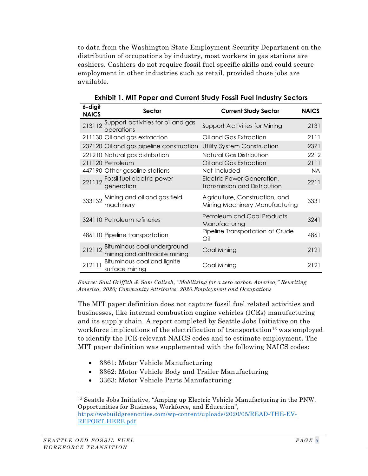to data from the Washington State Employment Security Department on the distribution of occupations by industry, most workers in gas stations are cashiers. Cashiers do not require fossil fuel specific skills and could secure employment in other industries such as retail, provided those jobs are available.

<span id="page-12-0"></span>

| 6-digit<br><b>NAICS</b> | Sector                                                             | <b>Current Study Sector</b>                                        | <b>NAICS</b> |
|-------------------------|--------------------------------------------------------------------|--------------------------------------------------------------------|--------------|
|                         | 213112 Support activities for oil and gas<br>operations            | Support Activities for Mining                                      | 2131         |
|                         | 211130 Oil and gas extraction                                      | Oil and Gas Extraction                                             | 2111         |
|                         | 237120 Oil and gas pipeline construction                           | Utility System Construction                                        | 2371         |
|                         | 221210 Natural gas distribution                                    | Natural Gas Distribution                                           | 2212         |
|                         | 211120 Petroleum                                                   | Oil and Gas Extraction                                             | 2111         |
|                         | 447190 Other gasoline stations                                     | Not Included                                                       | <b>NA</b>    |
|                         | 221112 Fossil fuel electric power<br>generation                    | Electric Power Generation,<br><b>Transmission and Distribution</b> | 2211         |
|                         | 333132 Mining and oil and gas field<br>machinery                   | Agriculture, Construction, and<br>Mining Machinery Manufacturing   | 3331         |
|                         | 324110 Petroleum refineries                                        | <b>Petroleum and Coal Products</b><br>Manufacturing                | 3241         |
|                         | 486110 Pipeline transportation                                     | Pipeline Transportation of Crude<br>Oil                            | 4861         |
|                         | 212112 Bituminous coal underground<br>mining and anthracite mining | Coal Mining                                                        | 2121         |
| 212111                  | Bituminous coal and lignite<br>surface mining                      | Coal Mining                                                        | 2121         |

<span id="page-12-1"></span>**Exhibit 1. MIT Paper and Current Study Fossil Fuel Industry Sectors**

*Source: Saul Griffith & Sam Calisch, "Mobilizing for a zero carbon America," Rewriting America, 2020; Community Attributes, 2020.Employment and Occupations*

The MIT paper definition does not capture fossil fuel related activities and businesses, like internal combustion engine vehicles (ICEs) manufacturing and its supply chain. A report completed by Seattle Jobs Initiative on the workforce implications of the electrification of transportation<sup>[13](#page-12-2)</sup> was employed to identify the ICE-relevant NAICS codes and to estimate employment. The MIT paper definition was supplemented with the following NAICS codes:

- 3361: Motor Vehicle Manufacturing
- 3362: Motor Vehicle Body and Trailer Manufacturing
- 3363: Motor Vehicle Parts Manufacturing

<span id="page-12-2"></span><sup>13</sup> Seattle Jobs Initiative, "Amping up Electric Vehicle Manufacturing in the PNW. Opportunities for Business, Workforce, and Education", [https://webuildgreencities.com/wp-content/uploads/2020/05/READ-THE-EV-](https://webuildgreencities.com/wp-content/uploads/2020/05/READ-THE-EV-REPORT-HERE.pdf)[REPORT-HERE.pdf](https://webuildgreencities.com/wp-content/uploads/2020/05/READ-THE-EV-REPORT-HERE.pdf)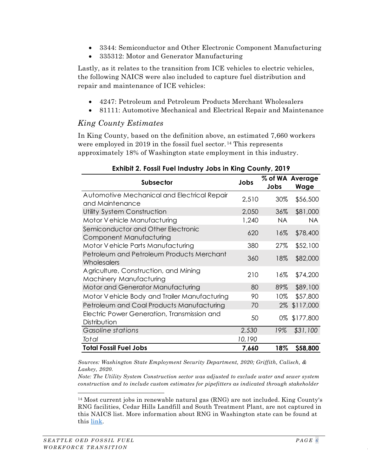- 3344: Semiconductor and Other Electronic Component Manufacturing
- 335312: Motor and Generator Manufacturing

Lastly, as it relates to the transition from ICE vehicles to electric vehicles, the following NAICS were also included to capture fuel distribution and repair and maintenance of ICE vehicles:

- 4247: Petroleum and Petroleum Products Merchant Wholesalers
- 81111: Automotive Mechanical and Electrical Repair and Maintenance

#### *King County Estimates*

In King County, based on the definition above, an estimated 7,660 workers were employed in 2019 in the fossil fuel sector.<sup>[14](#page-13-1)</sup> This represents approximately 18% of Washington state employment in this industry.

<span id="page-13-0"></span>

| <b>Subsector</b>                                                 | Jobs   | Jobs      | % of WA Average<br><b>Wage</b> |
|------------------------------------------------------------------|--------|-----------|--------------------------------|
| Automotive Mechanical and Electrical Repair<br>and Maintenance   | 2,510  | 30%       | \$56,500                       |
| Utility System Construction                                      | 2,050  | 36%       | \$81,000                       |
| Motor Vehicle Manufacturing                                      | 1,240  | <b>NA</b> | <b>NA</b>                      |
| Semiconductor and Other Electronic<br>Component Manufacturing    | 620    | 16%       | \$78,400                       |
| Motor Vehicle Parts Manufacturing                                | 380    | 27%       | \$52,100                       |
| Petroleum and Petroleum Products Merchant<br>Wholesalers         | 360    | 18%       | \$82,000                       |
| Agriculture, Construction, and Mining<br>Machinery Manufacturing | 210    | 16%       | \$74,200                       |
| Motor and Generator Manufacturing                                | 80     | 89%       | \$89,100                       |
| Motor Vehicle Body and Trailer Manufacturing                     | 90     | 10%       | \$57,800                       |
| Petroleum and Coal Products Manufacturing                        | 70     | 2%        | \$117,000                      |
| Electric Power Generation, Transmission and<br>Distribution      | 50     |           | 0% \$177,800                   |
| Gasoline stations                                                | 2,530  | 19%       | \$31,100                       |
| <b>Total</b>                                                     | 10,190 |           |                                |
| <b>Total Fossil Fuel Jobs</b>                                    | 7,660  | 18%       | \$58,800                       |

#### **Exhibit 2. Fossil Fuel Industry Jobs in King County, 2019**

*Sources: Washington State Employment Security Department, 2020; Griffith, Calisch, & Laskey, 2020.*

*Note: The Utility System Construction sector was adjusted to exclude water and sewer system construction and to include custom estimates for pipefitters as indicated through stakeholder* 

<span id="page-13-1"></span><sup>14</sup> Most current jobs in renewable natural gas (RNG) are not included. King County's RNG facilities, Cedar Hills Landfill and South Treatment Plant, are not captured in this NAICS list. More information about RNG in Washington state can be found at this [link.](https://www.commerce.wa.gov/wp-content/uploads/2019/01/Energy-Promoting-RNG-in-Washington-State.pdf)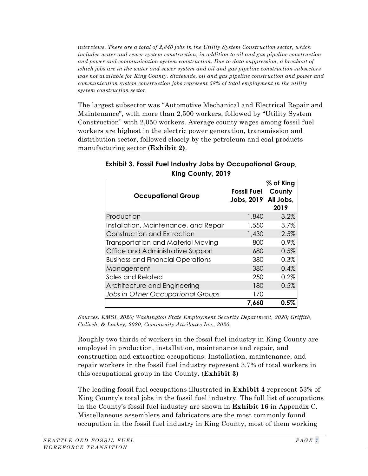*interviews. There are a total of 2,840 jobs in the Utility System Construction sector, which includes water and sewer system construction, in addition to oil and gas pipeline construction and power and communication system construction. Due to data suppression, a breakout of which jobs are in the water and sewer system and oil and gas pipeline construction subsectors was not available for King County. Statewide, oil and gas pipeline construction and power and communication system construction jobs represent 58% of total employment in the utility system construction sector.*

The largest subsector was "Automotive Mechanical and Electrical Repair and Maintenance", with more than 2,500 workers, followed by "Utility System Construction" with 2,050 workers. Average county wages among fossil fuel workers are highest in the electric power generation, transmission and distribution sector, followed closely by the petroleum and coal products manufacturing sector (**[Exhibit 2\)](#page-13-0)**.

| <b>Occupational Group</b>                | <b>Fossil Fuel</b><br>Jobs, 2019 | % of King<br>County<br>All Jobs,<br>2019 |
|------------------------------------------|----------------------------------|------------------------------------------|
| Production                               | 1,840                            | 3.2%                                     |
| Installation, Maintenance, and Repair    | 1,550                            | 3.7%                                     |
| Construction and Extraction              | 1,430                            | 2.5%                                     |
| Transportation and Material Moving       | 800                              | 0.9%                                     |
| Office and Administrative Support        | 680                              | 0.5%                                     |
| <b>Business and Financial Operations</b> | 380                              | 0.3%                                     |
| Management                               | 380                              | 0.4%                                     |
| Sales and Related                        | 250                              | 0.2%                                     |
| Architecture and Engineering             | 180                              | 0.5%                                     |
| Jobs in Other Occupational Groups        | 170                              |                                          |
|                                          | 7,660                            | $0.5\%$                                  |

<span id="page-14-0"></span>**Exhibit 3. Fossil Fuel Industry Jobs by Occupational Group, King County, 2019**

*Sources: EMSI, 2020; Washington State Employment Security Department, 2020; Griffith, Calisch, & Laskey, 2020; Community Attributes Inc., 2020.*

Roughly two thirds of workers in the fossil fuel industry in King County are employed in production, installation, maintenance and repair, and construction and extraction occupations. Installation, maintenance, and repair workers in the fossil fuel industry represent 3.7% of total workers in this occupational group in the County. (**[Exhibit 3](#page-14-0)**)

The leading fossil fuel occupations illustrated in **[Exhibit 4](#page-16-0)** represent 53% of King County's total jobs in the fossil fuel industry. The full list of occupations in the County's fossil fuel industry are shown in **[Exhibit 16](#page-52-1)** in Appendix C. Miscellaneous assemblers and fabricators are the most commonly found occupation in the fossil fuel industry in King County, most of them working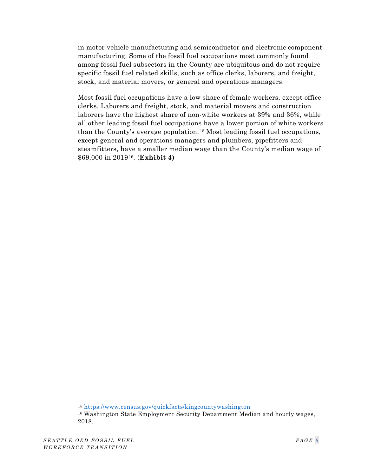in motor vehicle manufacturing and semiconductor and electronic component manufacturing. Some of the fossil fuel occupations most commonly found among fossil fuel subsectors in the County are ubiquitous and do not require specific fossil fuel related skills, such as office clerks, laborers, and freight, stock, and material movers, or general and operations managers.

Most fossil fuel occupations have a low share of female workers, except office clerks. Laborers and freight, stock, and material movers and construction laborers have the highest share of non-white workers at 39% and 36%, while all other leading fossil fuel occupations have a lower portion of white workers than the County's average population. [15](#page-15-0) Most leading fossil fuel occupations, except general and operations managers and plumbers, pipefitters and steamfitters, have a smaller median wage than the County's median wage of \$69,000 in 2019[16.](#page-15-1) (**[Exhibit 4\)](#page-16-0)**

<sup>15</sup> <https://www.census.gov/quickfacts/kingcountywashington>

<span id="page-15-1"></span><span id="page-15-0"></span><sup>16</sup> Washington State Employment Security Department Median and hourly wages, 2018.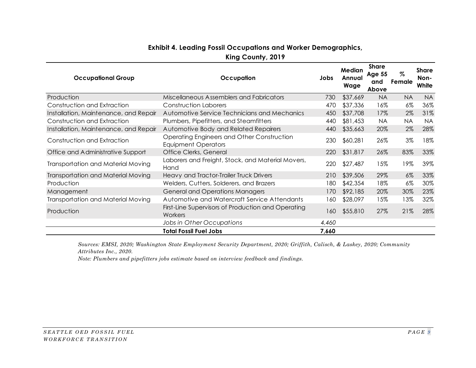#### **Exhibit 4. Leading Fossil Occupations and Worker Demographics,**

**King County, 2019**

<span id="page-16-0"></span>

| <b>Occupational Group</b>                 | Occupation                                                               | Jobs  | Median<br>Annual<br>Wage | <b>Share</b><br><b>Age 55</b><br>and<br>Above | %<br>Female | <b>Share</b><br>Non-<br>White |
|-------------------------------------------|--------------------------------------------------------------------------|-------|--------------------------|-----------------------------------------------|-------------|-------------------------------|
| Production                                | Miscellaneous Assemblers and Fabricators                                 | 730   | \$37,669                 | <b>NA</b>                                     | <b>NA</b>   | <b>NA</b>                     |
| Construction and Extraction               | Construction Laborers                                                    | 470   | \$37,336                 | 16%                                           | $6\%$       | 36%                           |
| Installation, Maintenance, and Repair     | Automotive Service Technicians and Mechanics                             | 450   | \$37,708                 | 17%                                           | 2%          | 31%                           |
| Construction and Extraction               | Plumbers, Pipefitters, and Steamfitters                                  | 440   | \$81,453                 | <b>NA</b>                                     | NA.         | <b>NA</b>                     |
| Installation, Maintenance, and Repair     | Automotive Body and Related Repairers                                    | 440   | \$35,663                 | 20%                                           | 2%          | 28%                           |
| Construction and Extraction               | Operating Engineers and Other Construction<br><b>Equipment Operators</b> | 230   | \$60,281                 | 26%                                           | 3%          | 18%                           |
| Office and Administrative Support         | Office Clerks, General                                                   | 220   | \$31,817                 | 26%                                           | 83%         | 33%                           |
| Transportation and Material Moving        | Laborers and Freight, Stock, and Material Movers,<br>Hand                | 220   | \$27,487                 | 15%                                           | 19%         | 39%                           |
| <b>Transportation and Material Moving</b> | Heavy and Tractor-Trailer Truck Drivers                                  | 210   | \$39,506                 | 29%                                           | $6\%$       | 33%                           |
| Production                                | Welders, Cutters, Solderers, and Brazers                                 | 180   | \$42,354                 | 18%                                           | $6\%$       | 30%                           |
| Management                                | <b>General and Operations Managers</b>                                   | 170   | \$92,185                 | 20%                                           | 30%         | 23%                           |
| Transportation and Material Moving        | Automotive and Watercraft Service Attendants                             | 160   | \$28,097                 | 15%                                           | 13%         | 32%                           |
| Production                                | First-Line Supervisors of Production and Operating<br>Workers            | 160   | \$55,810                 | 27%                                           | 21%         | 28%                           |
|                                           | Jobs in Other Occupations                                                | 4,460 |                          |                                               |             |                               |
|                                           | <b>Total Fossil Fuel Jobs</b>                                            | 7,660 |                          |                                               |             |                               |

*Sources: EMSI, 2020; Washington State Employment Security Department, 2020; Griffith, Calisch, & Laskey, 2020; Community Attributes Inc., 2020.*

*Note: Plumbers and pipefitters jobs estimate based on interview feedback and findings.*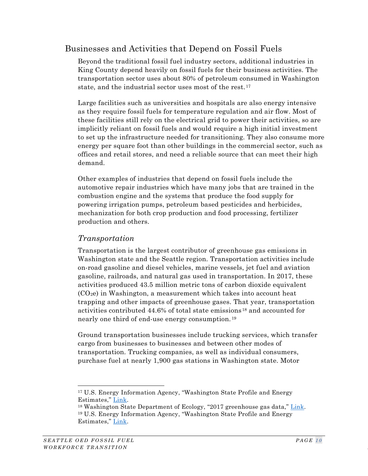## Businesses and Activities that Depend on Fossil Fuels

Beyond the traditional fossil fuel industry sectors, additional industries in King County depend heavily on fossil fuels for their business activities. The transportation sector uses about 80% of petroleum consumed in Washington state, and the industrial sector uses most of the rest. [17](#page-17-0)

Large facilities such as universities and hospitals are also energy intensive as they require fossil fuels for temperature regulation and air flow. Most of these facilities still rely on the electrical grid to power their activities, so are implicitly reliant on fossil fuels and would require a high initial investment to set up the infrastructure needed for transitioning. They also consume more energy per square foot than other buildings in the commercial sector, such as offices and retail stores, and need a reliable source that can meet their high demand.

Other examples of industries that depend on fossil fuels include the automotive repair industries which have many jobs that are trained in the combustion engine and the systems that produce the food supply for powering irrigation pumps, petroleum based pesticides and herbicides, mechanization for both crop production and food processing, fertilizer production and others.

#### *Transportation*

Transportation is the largest contributor of greenhouse gas emissions in Washington state and the Seattle region. Transportation activities include on-road gasoline and diesel vehicles, marine vessels, jet fuel and aviation gasoline, railroads, and natural gas used in transportation. In 2017, these activities produced 43.5 million metric tons of carbon dioxide equivalent  $(CO<sub>2</sub>e)$  in Washington, a measurement which takes into account heat trapping and other impacts of greenhouse gases. That year, transportation activities contributed 44.6% of total state emissions [18](#page-17-1) and accounted for nearly one third of end-use energy consumption. [19](#page-17-2)

Ground transportation businesses include trucking services, which transfer cargo from businesses to businesses and between other modes of transportation. Trucking companies, as well as individual consumers, purchase fuel at nearly 1,900 gas stations in Washington state. Motor

<span id="page-17-0"></span><sup>17</sup> U.S. Energy Information Agency, "Washington State Profile and Energy Estimates," [Link.](https://www.eia.gov/state/analysis.php?sid=WA#16)

<span id="page-17-2"></span><span id="page-17-1"></span><sup>&</sup>lt;sup>18</sup> Washington State Department of Ecology, "2017 greenhouse gas data," [Link.](https://ecology.wa.gov/Air-Climate/Climate-change/Greenhouse-gases/2017-greenhouse-gas-data) <sup>19</sup> U.S. Energy Information Agency, "Washington State Profile and Energy Estimates," [Link.](https://www.eia.gov/state/analysis.php?sid=WA#16)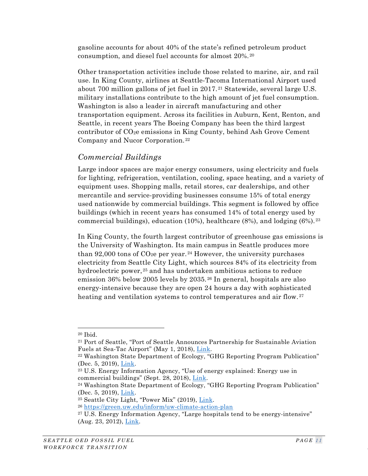gasoline accounts for about 40% of the state's refined petroleum product consumption, and diesel fuel accounts for almost 20%. [20](#page-18-0)

Other transportation activities include those related to marine, air, and rail use. In King County, airlines at Seattle-Tacoma International Airport used about 700 million gallons of jet fuel in 2017. [21](#page-18-1) Statewide, several large U.S. military installations contribute to the high amount of jet fuel consumption. Washington is also a leader in aircraft manufacturing and other transportation equipment. Across its facilities in Auburn, Kent, Renton, and Seattle, in recent years The Boeing Company has been the third largest contributor of CO2e emissions in King County, behind Ash Grove Cement Company and Nucor Corporation. [22](#page-18-2)

## *Commercial Buildings*

Large indoor spaces are major energy consumers, using electricity and fuels for lighting, refrigeration, ventilation, cooling, space heating, and a variety of equipment uses. Shopping malls, retail stores, car dealerships, and other mercantile and service-providing businesses consume 15% of total energy used nationwide by commercial buildings. This segment is followed by office buildings (which in recent years has consumed 14% of total energy used by commercial buildings), education  $(10\%)$ , healthcare  $(8\%)$ , and lodging  $(6\%)$ . <sup>[23](#page-18-3)</sup>

In King County, the fourth largest contributor of greenhouse gas emissions is the University of Washington. Its main campus in Seattle produces more than 92,000 tons of  $CO<sub>2</sub>e$  per year.<sup>[24](#page-18-4)</sup> However, the university purchases electricity from Seattle City Light, which sources 84% of its electricity from hydroelectric power, [25](#page-18-5) and has undertaken ambitious actions to reduce emission 36% below 2005 levels by 2035. [26](#page-18-6) In general, hospitals are also energy-intensive because they are open 24 hours a day with sophisticated heating and ventilation systems to control temperatures and air flow.<sup>[27](#page-18-7)</sup>

<span id="page-18-0"></span><sup>20</sup> Ibid.

<span id="page-18-1"></span><sup>21</sup> Port of Seattle, "Port of Seattle Announces Partnership for Sustainable Aviation Fuels at Sea-Tac Airport" (May 1, 2018), [Link.](https://www.portseattle.org/news/port-seattle-announces-partnership-sustainable-aviation-fuels-sea-tac-airport#:%7E:text=Airlines%20at%20Sea%2DTac%20Airport,of%20airlines)

<span id="page-18-2"></span><sup>22</sup> Washington State Department of Ecology, "GHG Reporting Program Publication" (Dec. 5, 2019), [Link.](https://data.wa.gov/Natural-Resources-Environment/GHG-Reporting-Program-Publication/idhm-59de/data)

<span id="page-18-3"></span><sup>23</sup> U.S. Energy Information Agency, "Use of energy explained: Energy use in commercial buildings" (Sept. 28, 2018), [Link.](https://www.eia.gov/energyexplained/use-of-energy/commercial-buildings.php)

<span id="page-18-4"></span><sup>24</sup> Washington State Department of Ecology, "GHG Reporting Program Publication" (Dec. 5, 2019), [Link.](https://data.wa.gov/Natural-Resources-Environment/GHG-Reporting-Program-Publication/idhm-59de/data)

<span id="page-18-5"></span><sup>25</sup> Seattle City Light, "Power Mix" (2019), [Link.](http://www.seattle.gov/light/FuelMix/)

<span id="page-18-6"></span><sup>26</sup> <https://green.uw.edu/inform/uw-climate-action-plan>

<span id="page-18-7"></span><sup>&</sup>lt;sup>27</sup> U.S. Energy Information Agency, "Large hospitals tend to be energy-intensive" (Aug. 23, 2012), [Link.](https://www.eia.gov/todayinenergy/detail.php?id=7670)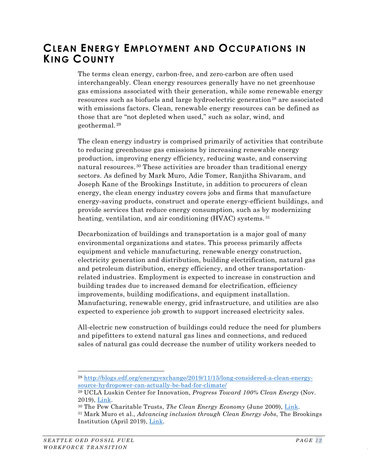# <span id="page-19-0"></span>**CLEAN ENERGY EMPLOYMENT AND OCCUPATIONS IN KING COUNTY**

The terms clean energy, carbon-free, and zero-carbon are often used interchangeably. Clean energy resources generally have no net greenhouse gas emissions associated with their generation, while some renewable energy resources such as biofuels and large hydroelectric generation<sup>[28](#page-19-1)</sup> are associated with emissions factors. Clean, renewable energy resources can be defined as those that are "not depleted when used," such as solar, wind, and geothermal. [29](#page-19-2)

The clean energy industry is comprised primarily of activities that contribute to reducing greenhouse gas emissions by increasing renewable energy production, improving energy efficiency, reducing waste, and conserving natural resources. [30](#page-19-3) These activities are broader than traditional energy sectors. As defined by Mark Muro, Adie Tomer, Ranjitha Shivaram, and Joseph Kane of the Brookings Institute, in addition to procurers of clean energy, the clean energy industry covers jobs and firms that manufacture energy-saving products, construct and operate energy-efficient buildings, and provide services that reduce energy consumption, such as by modernizing heating, ventilation, and air conditioning (HVAC) systems.<sup>[31](#page-19-4)</sup>

Decarbonization of buildings and transportation is a major goal of many environmental organizations and states. This process primarily affects equipment and vehicle manufacturing, renewable energy construction, electricity generation and distribution, building electrification, natural gas and petroleum distribution, energy efficiency, and other transportationrelated industries. Employment is expected to increase in construction and building trades due to increased demand for electrification, efficiency improvements, building modifications, and equipment installation. Manufacturing, renewable energy, grid infrastructure, and utilities are also expected to experience job growth to support increased electricity sales.

All-electric new construction of buildings could reduce the need for plumbers and pipefitters to extend natural gas lines and connections, and reduced sales of natural gas could decrease the number of utility workers needed to

<span id="page-19-1"></span><sup>28</sup> [http://blogs.edf.org/energyexchange/2019/11/15/long-considered-a-clean-energy](http://blogs.edf.org/energyexchange/2019/11/15/long-considered-a-clean-energy-source-hydropower-can-actually-be-bad-for-climate/)[source-hydropower-can-actually-be-bad-for-climate/](http://blogs.edf.org/energyexchange/2019/11/15/long-considered-a-clean-energy-source-hydropower-can-actually-be-bad-for-climate/)

<span id="page-19-2"></span><sup>29</sup> UCLA Luskin Center for Innovation, *Progress Toward 100% Clean Energy* (Nov. 2019), [Link.](https://innovation.luskin.ucla.edu/wp-content/uploads/2019/11/100-Clean-Energy-Progress-Report-UCLA-2.pdf)

<span id="page-19-3"></span><sup>30</sup> The Pew Charitable Trusts, *The Clean Energy Economy* (June 2009), [Link.](https://www.pewtrusts.org/%7E/media/assets/2009/06/10/clean-energy-economy-exec-summary.pdf)

<span id="page-19-4"></span><sup>31</sup> Mark Muro et al., *Advancing inclusion through Clean Energy Jobs*, The Brookings Institution (April 2019), [Link.](https://www.brookings.edu/wp-content/uploads/2019/04/2019.04_metro_Clean-Energy-Jobs_Report_Muro-Tomer-Shivaran-Kane.pdf)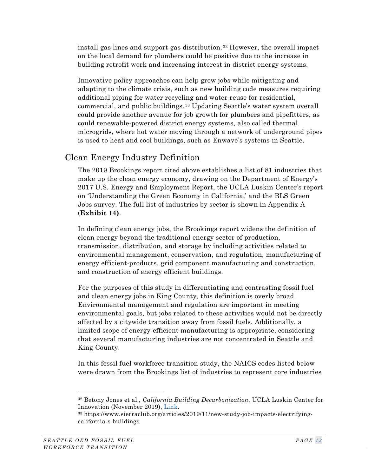install gas lines and support gas distribution. [32](#page-20-0) However, the overall impact on the local demand for plumbers could be positive due to the increase in building retrofit work and increasing interest in district energy systems.

Innovative policy approaches can help grow jobs while mitigating and adapting to the climate crisis, such as new building code measures requiring additional piping for water recycling and water reuse for residential, commercial, and public buildings. [33](#page-20-1) Updating Seattle's water system overall could provide another avenue for job growth for plumbers and pipefitters, as could renewable-powered district energy systems, also called thermal microgrids, where hot water moving through a network of underground pipes is used to heat and cool buildings, such as Enwave's systems in Seattle.

# Clean Energy Industry Definition

The 2019 Brookings report cited above establishes a list of 81 industries that make up the clean energy economy, drawing on the Department of Energy's 2017 U.S. Energy and Employment Report, the UCLA Luskin Center's report on 'Understanding the Green Economy in California,' and the BLS Green Jobs survey. The full list of industries by sector is shown in Appendix A (**[Exhibit 14\)](#page-49-1)**.

In defining clean energy jobs, the Brookings report widens the definition of clean energy beyond the traditional energy sector of production, transmission, distribution, and storage by including activities related to environmental management, conservation, and regulation, manufacturing of energy efficient-products, grid component manufacturing and construction, and construction of energy efficient buildings.

For the purposes of this study in differentiating and contrasting fossil fuel and clean energy jobs in King County, this definition is overly broad. Environmental management and regulation are important in meeting environmental goals, but jobs related to these activities would not be directly affected by a citywide transition away from fossil fuels. Additionally, a limited scope of energy-efficient manufacturing is appropriate, considering that several manufacturing industries are not concentrated in Seattle and King County.

In this fossil fuel workforce transition study, the NAICS codes listed below were drawn from the Brookings list of industries to represent core industries

<span id="page-20-0"></span><sup>32</sup> Betony Jones et al., *California Building Decarbonization*, UCLA Luskin Center for Innovation (November 2019), [Link.](https://www.sierraclub.org/sites/www.sierraclub.org/files/program/documents/California_Building_Decarbonization.pdf)

<span id="page-20-1"></span><sup>33</sup> https://www.sierraclub.org/articles/2019/11/new-study-job-impacts-electrifyingcalifornia-s-buildings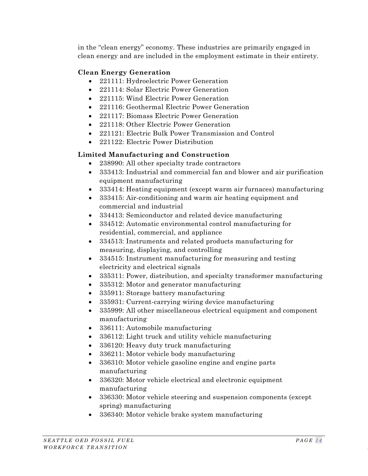in the "clean energy" economy. These industries are primarily engaged in clean energy and are included in the employment estimate in their entirety.

#### **Clean Energy Generation**

- 221111: Hydroelectric Power Generation
- 221114: Solar Electric Power Generation
- 221115: Wind Electric Power Generation
- 221116: Geothermal Electric Power Generation
- 221117: Biomass Electric Power Generation
- 221118: Other Electric Power Generation
- 221121: Electric Bulk Power Transmission and Control
- 221122: Electric Power Distribution

#### **Limited Manufacturing and Construction**

- 238990: All other specialty trade contractors
- 333413: Industrial and commercial fan and blower and air purification equipment manufacturing
- 333414: Heating equipment (except warm air furnaces) manufacturing
- 333415: Air-conditioning and warm air heating equipment and commercial and industrial
- 334413: Semiconductor and related device manufacturing
- 334512: Automatic environmental control manufacturing for residential, commercial, and appliance
- 334513: Instruments and related products manufacturing for measuring, displaying, and controlling
- 334515: Instrument manufacturing for measuring and testing electricity and electrical signals
- 335311: Power, distribution, and specialty transformer manufacturing
- 335312: Motor and generator manufacturing
- 335911: Storage battery manufacturing
- 335931: Current-carrying wiring device manufacturing
- 335999: All other miscellaneous electrical equipment and component manufacturing
- 336111: Automobile manufacturing
- 336112: Light truck and utility vehicle manufacturing
- 336120: Heavy duty truck manufacturing
- 336211: Motor vehicle body manufacturing
- 336310: Motor vehicle gasoline engine and engine parts manufacturing
- 336320: Motor vehicle electrical and electronic equipment manufacturing
- 336330: Motor vehicle steering and suspension components (except spring) manufacturing
- 336340: Motor vehicle brake system manufacturing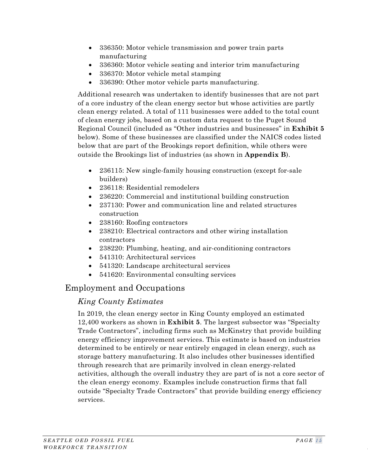- 336350: Motor vehicle transmission and power train parts manufacturing
- 336360: Motor vehicle seating and interior trim manufacturing
- 336370: Motor vehicle metal stamping
- 336390: Other motor vehicle parts manufacturing.

Additional research was undertaken to identify businesses that are not part of a core industry of the clean energy sector but whose activities are partly clean energy related. A total of 111 businesses were added to the total count of clean energy jobs, based on a custom data request to the Puget Sound Regional Council (included as "Other industries and businesses" in **[Exhibit 5](#page-23-0)** below). Some of these businesses are classified under the NAICS codes listed below that are part of the Brookings report definition, while others were outside the Brookings list of industries (as shown in **Appendix B**).

- 236115: New single-family housing construction (except for-sale builders)
- 236118: Residential remodelers
- 236220: Commercial and institutional building construction
- 237130: Power and communication line and related structures construction
- 238160: Roofing contractors
- 238210: Electrical contractors and other wiring installation contractors
- 238220: Plumbing, heating, and air-conditioning contractors
- 541310: Architectural services
- 541320: Landscape architectural services
- 541620: Environmental consulting services

## Employment and Occupations

#### *King County Estimates*

In 2019, the clean energy sector in King County employed an estimated 12,400 workers as shown in **[Exhibit 5](#page-23-0)**. The largest subsector was "Specialty Trade Contractors", including firms such as McKinstry that provide building energy efficiency improvement services. This estimate is based on industries determined to be entirely or near entirely engaged in clean energy, such as storage battery manufacturing. It also includes other businesses identified through research that are primarily involved in clean energy-related activities, although the overall industry they are part of is not a core sector of the clean energy economy. Examples include construction firms that fall outside "Specialty Trade Contractors" that provide building energy efficiency services.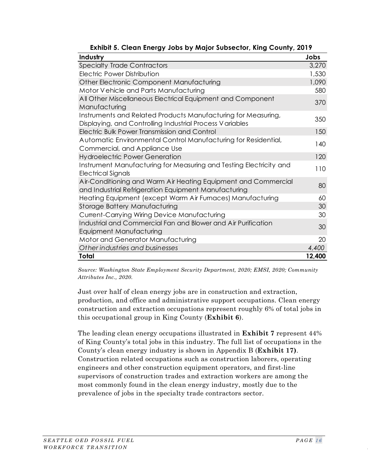<span id="page-23-0"></span>

| Industry                                                                                                                  | Jobs   |
|---------------------------------------------------------------------------------------------------------------------------|--------|
| <b>Specialty Trade Contractors</b>                                                                                        | 3,270  |
| Electric Power Distribution                                                                                               | 1,530  |
| <b>Other Electronic Component Manufacturing</b>                                                                           | 1,090  |
| Motor Vehicle and Parts Manufacturing                                                                                     | 580    |
| All Other Miscellaneous Electrical Equipment and Component                                                                | 370    |
| Manufacturing                                                                                                             |        |
| Instruments and Related Products Manufacturing for Measuring,<br>Displaying, and Controlling Industrial Process Variables | 350    |
| <b>Electric Bulk Power Transmission and Control</b>                                                                       | 150    |
| Automatic Environmental Control Manufacturing for Residential,                                                            | 140    |
| Commercial, and Appliance Use                                                                                             |        |
| <b>Hydroelectric Power Generation</b>                                                                                     | 120    |
| Instrument Manufacturing for Measuring and Testing Electricity and<br>Electrical Signals                                  | 110    |
| Air-Conditioning and Warm Air Heating Equipment and Commercial<br>and Industrial Refrigeration Equipment Manufacturing    | 80     |
| Heating Equipment (except Warm Air Furnaces) Manufacturing                                                                | 60     |
| Storage Battery Manufacturing                                                                                             | 30     |
| <b>Current-Carrying Wiring Device Manufacturing</b>                                                                       | 30     |
| Industrial and Commercial Fan and Blower and Air Purification                                                             | 30     |
| Equipment Manufacturing                                                                                                   |        |
| Motor and Generator Manufacturing                                                                                         | 20     |
| Other industries and businesses                                                                                           | 4,400  |
| Total                                                                                                                     | 12,400 |

**Exhibit 5. Clean Energy Jobs by Major Subsector, King County, 2019**

*Source: Washington State Employment Security Department, 2020; EMSI, 2020; Community Attributes Inc., 2020.*

Just over half of clean energy jobs are in construction and extraction, production, and office and administrative support occupations. Clean energy construction and extraction occupations represent roughly 6% of total jobs in this occupational group in King County (**[Exhibit 6](#page-24-0)**).

The leading clean energy occupations illustrated in **[Exhibit 7](#page-25-0)** represent 44% of King County's total jobs in this industry. The full list of occupations in the County's clean energy industry is shown in Appendix B (**[Exhibit 17\)](#page-54-0)**. Construction related occupations such as construction laborers, operating engineers and other construction equipment operators, and first-line supervisors of construction trades and extraction workers are among the most commonly found in the clean energy industry, mostly due to the prevalence of jobs in the specialty trade contractors sector.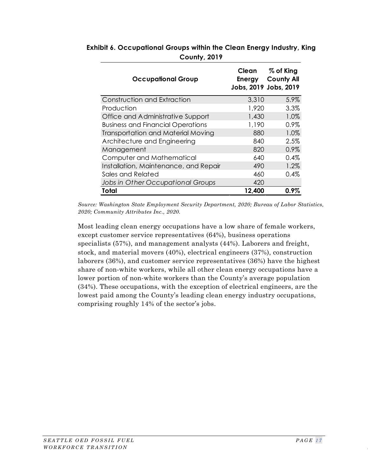| <b>Occupational Group</b>                 | Clean<br>Energy | % of King<br><b>County All</b><br>Jobs, 2019 Jobs, 2019 |
|-------------------------------------------|-----------------|---------------------------------------------------------|
| Construction and Extraction               | 3,310           | 5.9%                                                    |
| Production                                | 1,920           | 3.3%                                                    |
| Office and Administrative Support         | 1,430           | 1.0%                                                    |
| <b>Business and Financial Operations</b>  | 1,190           | 0.9%                                                    |
| <b>Transportation and Material Moving</b> | 880             | 1.0%                                                    |
| Architecture and Engineering              | 840             | 2.5%                                                    |
| Management                                | 820             | 0.9%                                                    |
| Computer and Mathematical                 | 640             | 0.4%                                                    |
| Installation, Maintenance, and Repair     | 490             | 1.2%                                                    |
| Sales and Related                         | 460             | 0.4%                                                    |
| Jobs in Other Occupational Groups         | 420             |                                                         |
| Total                                     | 12,400          | $0.9\%$                                                 |

<span id="page-24-0"></span>**Exhibit 6. Occupational Groups within the Clean Energy Industry, King County, 2019**

*Source: Washington State Employment Security Department, 2020; Bureau of Labor Statistics, 2020; Community Attributes Inc., 2020.*

Most leading clean energy occupations have a low share of female workers, except customer service representatives (64%), business operations specialists (57%), and management analysts (44%). Laborers and freight, stock, and material movers (40%), electrical engineers (37%), construction laborers (36%), and customer service representatives (36%) have the highest share of non-white workers, while all other clean energy occupations have a lower portion of non-white workers than the County's average population (34%). These occupations, with the exception of electrical engineers, are the lowest paid among the County's leading clean energy industry occupations, comprising roughly 14% of the sector's jobs.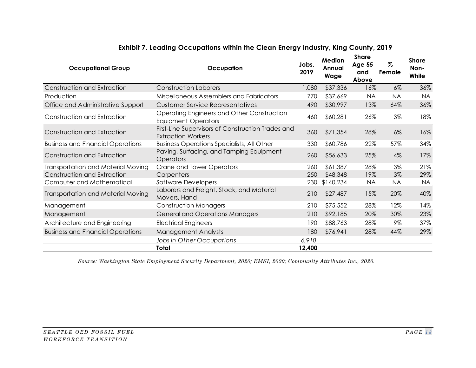<span id="page-25-0"></span>

| <b>Occupational Group</b>                 | Occupation                                                                     | Jobs.<br>2019 | Median<br>Annual<br>Wage | <b>Share</b><br><b>Age 55</b><br>and<br>Above | Z<br>Female | <b>Share</b><br>Non-<br>White |
|-------------------------------------------|--------------------------------------------------------------------------------|---------------|--------------------------|-----------------------------------------------|-------------|-------------------------------|
| Construction and Extraction               | <b>Construction Laborers</b>                                                   | 1,080         | \$37,336                 | 16%                                           | $6\%$       | 36%                           |
| Production                                | Miscellaneous Assemblers and Fabricators                                       | 770           | \$37,669                 | <b>NA</b>                                     | <b>NA</b>   | <b>NA</b>                     |
| Office and Administrative Support         | <b>Customer Service Representatives</b>                                        | 490           | \$30,997                 | 13%                                           | 64%         | 36%                           |
| Construction and Extraction               | Operating Engineers and Other Construction<br><b>Equipment Operators</b>       | 460           | \$60,281                 | 26%                                           | $3\%$       | 18%                           |
| Construction and Extraction               | First-Line Supervisors of Construction Trades and<br><b>Extraction Workers</b> | 360           | \$71,354                 | 28%                                           | $6\%$       | 16%                           |
| <b>Business and Financial Operations</b>  | <b>Business Operations Specialists, All Other</b>                              | 330           | \$60,786                 | 22%                                           | 57%         | 34%                           |
| Construction and Extraction               | Paving, Surfacing, and Tamping Equipment<br><b>Operators</b>                   | 260           | \$56,633                 | 25%                                           | $4\%$       | 17%                           |
| <b>Transportation and Material Moving</b> | Crane and Tower Operators                                                      | 260           | \$61,387                 | 28%                                           | 3%          | 21%                           |
| Construction and Extraction               | Carpenters                                                                     | 250           | \$48,348                 | 19%                                           | $3\%$       | 29%                           |
| Computer and Mathematical                 | Software Developers                                                            | 230           | \$140,234                | <b>NA</b>                                     | <b>NA</b>   | <b>NA</b>                     |
| <b>Transportation and Material Moving</b> | Laborers and Freight, Stock, and Material<br>Movers, Hand                      | 210           | \$27,487                 | 15%                                           | 20%         | 40%                           |
| Management                                | <b>Construction Managers</b>                                                   | 210           | \$75,552                 | 28%                                           | 12%         | 14%                           |
| Management                                | <b>General and Operations Managers</b>                                         | 210           | \$92,185                 | 20%                                           | 30%         | 23%                           |
| Architecture and Engineering              | <b>Electrical Engineers</b>                                                    | 190           | \$88,763                 | 28%                                           | 9%          | 37%                           |
| <b>Business and Financial Operations</b>  | <b>Management Analysts</b>                                                     | 180           | \$76,941                 | 28%                                           | 44%         | 29%                           |
|                                           | Jobs in Other Occupations                                                      | 6,910         |                          |                                               |             |                               |
|                                           | Total                                                                          | 12,400        |                          |                                               |             |                               |

## **Exhibit 7. Leading Occupations within the Clean Energy Industry, King County, 2019**

*Source: Washington State Employment Security Department, 2020; EMSI, 2020; Community Attributes Inc., 2020.*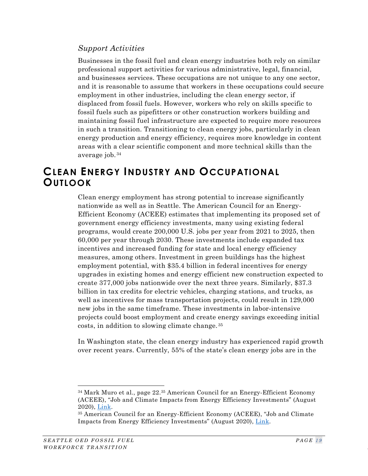#### *Support Activities*

Businesses in the fossil fuel and clean energy industries both rely on similar professional support activities for various administrative, legal, financial, and businesses services. These occupations are not unique to any one sector, and it is reasonable to assume that workers in these occupations could secure employment in other industries, including the clean energy sector, if displaced from fossil fuels. However, workers who rely on skills specific to fossil fuels such as pipefitters or other construction workers building and maintaining fossil fuel infrastructure are expected to require more resources in such a transition. Transitioning to clean energy jobs, particularly in clean energy production and energy efficiency, requires more knowledge in content areas with a clear scientific component and more technical skills than the average job. [34](#page-26-1)

# <span id="page-26-0"></span>**CLEAN ENERGY INDUSTRY AND OCCUPATIONAL OUTLOOK**

Clean energy employment has strong potential to increase significantly nationwide as well as in Seattle. The American Council for an Energy-Efficient Economy (ACEEE) estimates that implementing its proposed set of government energy efficiency investments, many using existing federal programs, would create 200,000 U.S. jobs per year from 2021 to 2025, then 60,000 per year through 2030. These investments include expanded tax incentives and increased funding for state and local energy efficiency measures, among others. Investment in green buildings has the highest employment potential, with \$35.4 billion in federal incentives for energy upgrades in existing homes and energy efficient new construction expected to create 377,000 jobs nationwide over the next three years. Similarly, \$37.3 billion in tax credits for electric vehicles, charging stations, and trucks, as well as incentives for mass transportation projects, could result in 129,000 new jobs in the same timeframe. These investments in labor-intensive projects could boost employment and create energy savings exceeding initial costs, in addition to slowing climate change. [35](#page-26-2)

In Washington state, the clean energy industry has experienced rapid growth over recent years. Currently, 55% of the state's clean energy jobs are in the

<span id="page-26-1"></span><sup>34</sup> Mark Muro et al., page 22.35 American Council for an Energy-Efficient Economy (ACEEE), "Job and Climate Impacts from Energy Efficiency Investments" (August 2020), <u>Link</u>.<br><sup>35</sup> American Council for an Energy-Efficient Economy (ACEEE), "Job and Climate

<span id="page-26-3"></span><span id="page-26-2"></span>Impacts from Energy Efficiency Investments" (August 2020), [Link.](https://www.eenews.net/assets/2020/08/04/document_daily_01.pdf)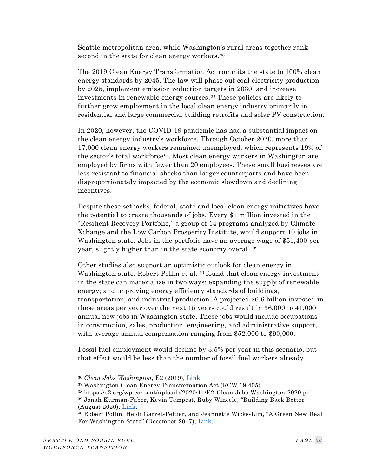Seattle metropolitan area, while Washington's rural areas together rank second in the state for clean energy workers. [36](#page-26-3)

The 2019 Clean Energy Transformation Act commits the state to 100% clean energy standards by 2045. The law will phase out coal electricity production by 2025, implement emission reduction targets in 2030, and increase investments in renewable energy sources. [37](#page-27-0) These policies are likely to further grow employment in the local clean energy industry primarily in residential and large commercial building retrofits and solar PV construction.

In 2020, however, the COVID-19 pandemic has had a substantial impact on the clean energy industry's workforce. Through October 2020, more than 17,000 clean energy workers remained unemployed, which represents 19% of the sector's total workforce [38.](#page-27-1) Most clean energy workers in Washington are employed by firms with fewer than 20 employees. These small businesses are less resistant to financial shocks than larger counterparts and have been disproportionately impacted by the economic slowdown and declining incentives.

Despite these setbacks, federal, state and local clean energy initiatives have the potential to create thousands of jobs. Every \$1 million invested in the "Resilient Recovery Portfolio," a group of 14 programs analyzed by Climate Xchange and the Low Carbon Prosperity Institute, would support 10 jobs in Washington state. Jobs in the portfolio have an average wage of \$51,400 per year, slightly higher than in the state economy overall. [39](#page-27-2)

Other studies also support an optimistic outlook for clean energy in Washington state. Robert Pollin et al. <sup>[40](#page-27-3)</sup> found that clean energy investment in the state can materialize in two ways: expanding the supply of renewable energy; and improving energy efficiency standards of buildings, transportation, and industrial production. A projected \$6.6 billion invested in these areas per year over the next 15 years could result in 36,000 to 41,000 annual new jobs in Washington state. These jobs would include occupations in construction, sales, production, engineering, and administrative support, with average annual compensation ranging from \$52,000 to \$90,000.

Fossil fuel employment would decline by 3.5% per year in this scenario, but that effect would be less than the number of fossil fuel workers already

<sup>&</sup>lt;sup>36</sup> *Clean Jobs Washington*, E2 (2019), <u>Link</u>.<br><sup>37</sup> Washington Clean Energy Transformation Act (RCW 19.405).

<span id="page-27-2"></span><span id="page-27-1"></span><span id="page-27-0"></span><sup>38</sup> https://e2.org/wp-content/uploads/2020/11/E2-Clean-Jobs-Washington-2020.pdf.

<span id="page-27-3"></span><sup>39</sup> Jonah Kurman-Faber, Kevin Tempest, Ruby Wincele, "Building Back Better" (August 2020), <u>Link</u>.<br><sup>40</sup> Robert Pollin, Heidi Garret-Peltier, and Jeannette Wicks-Lim, "A Green New Deal

For Washington State" (December 2017), [Link.](https://www.greenpolicy360.net/mw/images/Green_New_Deal_-_WashingtonState_12-23-17.pdf)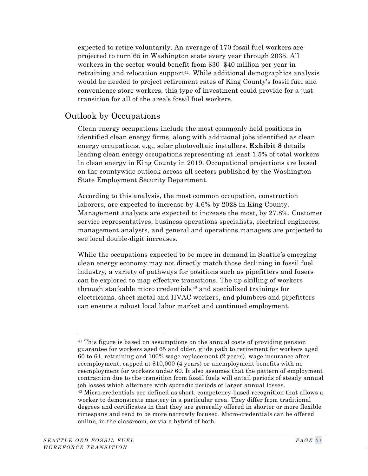expected to retire voluntarily. An average of 170 fossil fuel workers are projected to turn 65 in Washington state every year through 2035. All workers in the sector would benefit from \$30–\$40 million per year in retraining and relocation support [41.](#page-28-0) While additional demographics analysis would be needed to project retirement rates of King County's fossil fuel and convenience store workers, this type of investment could provide for a just transition for all of the area's fossil fuel workers.

## Outlook by Occupations

Clean energy occupations include the most commonly held positions in identified clean energy firms, along with additional jobs identified as clean energy occupations, e.g., solar photovoltaic installers. **[Exhibit 8](#page-29-0)** details leading clean energy occupations representing at least 1.5% of total workers in clean energy in King County in 2019. Occupational projections are based on the countywide outlook across all sectors published by the Washington State Employment Security Department.

According to this analysis, the most common occupation, construction laborers, are expected to increase by 4.6% by 2028 in King County. Management analysts are expected to increase the most, by 27.8%. Customer service representatives, business operations specialists, electrical engineers, management analysts, and general and operations managers are projected to see local double-digit increases.

While the occupations expected to be more in demand in Seattle's emerging clean energy economy may not directly match those declining in fossil fuel industry, a variety of pathways for positions such as pipefitters and fusers can be explored to map effective transitions. The up skilling of workers through stackable micro credentials [42](#page-28-1) and specialized trainings for electricians, sheet metal and HVAC workers, and plumbers and pipefitters can ensure a robust local labor market and continued employment.

<span id="page-28-1"></span><span id="page-28-0"></span><sup>41</sup> This figure is based on assumptions on the annual costs of providing pension guarantee for workers aged 65 and older, glide path to retirement for workers aged 60 to 64, retraining and 100% wage replacement (2 years), wage insurance after reemployment, capped at \$10,000 (4 years) or unemployment benefits with no reemployment for workers under 60. It also assumes that the pattern of employment contraction due to the transition from fossil fuels will entail periods of steady annual job losses which alternate with sporadic periods of larger annual losses. <sup>42</sup> Micro-credentials are defined as short, competency-based recognition that allows a worker to demonstrate mastery in a particular area. They differ from traditional degrees and certificates in that they are generally offered in shorter or more flexible timespans and tend to be more narrowly focused. Micro-credentials can be offered online, in the classroom, or via a hybrid of both.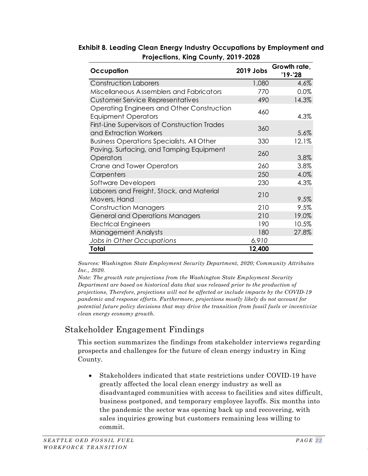| Occupation                                                               | 2019 Jobs | Growth rate,<br>$'19 - '28$ |
|--------------------------------------------------------------------------|-----------|-----------------------------|
| <b>Construction Laborers</b>                                             | 1,080     | 4.6%                        |
| Miscellaneous Assemblers and Fabricators                                 | 770       | 0.0%                        |
| <b>Customer Service Representatives</b>                                  | 490       | 14.3%                       |
| Operating Engineers and Other Construction<br><b>Equipment Operators</b> | 460       | 4.3%                        |
| First-Line Supervisors of Construction Trades<br>and Extraction Workers  | 360       | 5.6%                        |
| <b>Business Operations Specialists, All Other</b>                        | 330       | 12.1%                       |
| Paving, Surfacing, and Tamping Equipment<br>Operators                    | 260       | 3.8%                        |
| <b>Crane and Tower Operators</b>                                         | 260       | 3.8%                        |
| Carpenters                                                               | 250       | 4.0%                        |
| Software Developers                                                      | 230       | 4.3%                        |
| Laborers and Freight, Stock, and Material<br>Movers, Hand                | 210       | 9.5%                        |
| <b>Construction Managers</b>                                             | 210       | 9.5%                        |
| <b>General and Operations Managers</b>                                   | 210       | 19.0%                       |
| <b>Electrical Engineers</b>                                              | 190       | 10.5%                       |
| Management Analysts                                                      | 180       | 27.8%                       |
| Jobs in Other Occupations                                                | 6,910     |                             |
| Total                                                                    | 12,400    |                             |

<span id="page-29-0"></span>**Exhibit 8. Leading Clean Energy Industry Occupations by Employment and Projections, King County, 2019-2028**

*Sources: Washington State Employment Security Department, 2020; Community Attributes Inc., 2020.*

*Note: The growth rate projections from the Washington State Employment Security Department are based on historical data that was released prior to the production of projections, Therefore, projections will not be affected or include impacts by the COVID-19 pandemic and response efforts. Furthermore, projections mostly likely do not account for potential future policy decisions that may drive the transition from fossil fuels or incentivize clean energy economy growth.*

# Stakeholder Engagement Findings

This section summarizes the findings from stakeholder interviews regarding prospects and challenges for the future of clean energy industry in King County.

• Stakeholders indicated that state restrictions under COVID-19 have greatly affected the local clean energy industry as well as disadvantaged communities with access to facilities and sites difficult, business postponed, and temporary employee layoffs. Six months into the pandemic the sector was opening back up and recovering, with sales inquiries growing but customers remaining less willing to commit.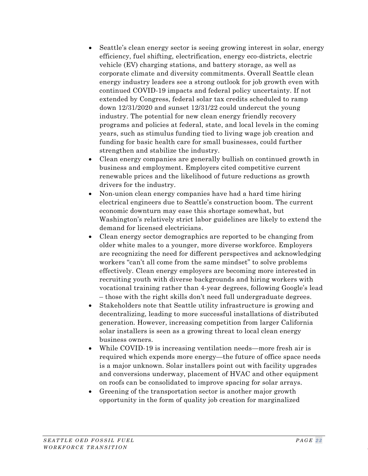- Seattle's clean energy sector is seeing growing interest in solar, energy efficiency, fuel shifting, electrification, energy eco-districts, electric vehicle (EV) charging stations, and battery storage, as well as corporate climate and diversity commitments. Overall Seattle clean energy industry leaders see a strong outlook for job growth even with continued COVID-19 impacts and federal policy uncertainty. If not extended by Congress, federal solar tax credits scheduled to ramp down 12/31/2020 and sunset 12/31/22 could undercut the young industry. The potential for new clean energy friendly recovery programs and policies at federal, state, and local levels in the coming years, such as stimulus funding tied to living wage job creation and funding for basic health care for small businesses, could further strengthen and stabilize the industry.
- Clean energy companies are generally bullish on continued growth in business and employment. Employers cited competitive current renewable prices and the likelihood of future reductions as growth drivers for the industry.
- Non-union clean energy companies have had a hard time hiring electrical engineers due to Seattle's construction boom. The current economic downturn may ease this shortage somewhat, but Washington's relatively strict labor guidelines are likely to extend the demand for licensed electricians.
- Clean energy sector demographics are reported to be changing from older white males to a younger, more diverse workforce. Employers are recognizing the need for different perspectives and acknowledging workers "can't all come from the same mindset" to solve problems effectively. Clean energy employers are becoming more interested in recruiting youth with diverse backgrounds and hiring workers with vocational training rather than 4-year degrees, following Google's lead – those with the right skills don't need full undergraduate degrees.
- Stakeholders note that Seattle utility infrastructure is growing and decentralizing, leading to more successful installations of distributed generation. However, increasing competition from larger California solar installers is seen as a growing threat to local clean energy business owners.
- While COVID-19 is increasing ventilation needs—more fresh air is required which expends more energy—the future of office space needs is a major unknown. Solar installers point out with facility upgrades and conversions underway, placement of HVAC and other equipment on roofs can be consolidated to improve spacing for solar arrays.
- Greening of the transportation sector is another major growth opportunity in the form of quality job creation for marginalized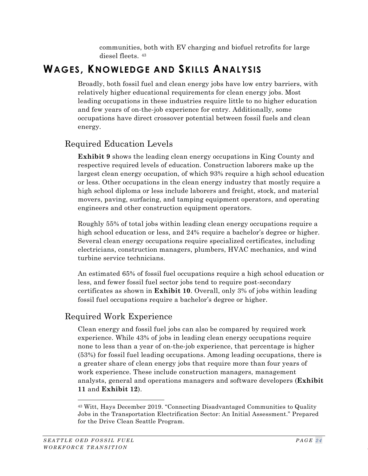communities, both with EV charging and biofuel retrofits for large diesel fleets. [43](#page-31-1)

# <span id="page-31-0"></span>**WAGES, KNOWLEDGE AND SKILLS ANALYSIS**

Broadly, both fossil fuel and clean energy jobs have low entry barriers, with relatively higher educational requirements for clean energy jobs. Most leading occupations in these industries require little to no higher education and few years of on-the-job experience for entry. Additionally, some occupations have direct crossover potential between fossil fuels and clean energy.

# Required Education Levels

**[Exhibit 9](#page-32-0)** shows the leading clean energy occupations in King County and respective required levels of education. Construction laborers make up the largest clean energy occupation, of which 93% require a high school education or less. Other occupations in the clean energy industry that mostly require a high school diploma or less include laborers and freight, stock, and material movers, paving, surfacing, and tamping equipment operators, and operating engineers and other construction equipment operators.

Roughly 55% of total jobs within leading clean energy occupations require a high school education or less, and 24% require a bachelor's degree or higher. Several clean energy occupations require specialized certificates, including electricians, construction managers, plumbers, HVAC mechanics, and wind turbine service technicians.

An estimated 65% of fossil fuel occupations require a high school education or less, and fewer fossil fuel sector jobs tend to require post-secondary certificates as shown in **[Exhibit 10](#page-32-1)**. Overall, only 3% of jobs within leading fossil fuel occupations require a bachelor's degree or higher.

# Required Work Experience

Clean energy and fossil fuel jobs can also be compared by required work experience. While 43% of jobs in leading clean energy occupations require none to less than a year of on-the-job experience, that percentage is higher (53%) for fossil fuel leading occupations. Among leading occupations, there is a greater share of clean energy jobs that require more than four years of work experience. These include construction managers, management analysts, general and operations managers and software developers (**[Exhibit](#page-33-0)  [11](#page-33-0)** and **[Exhibit 12](#page-33-1)**).

<span id="page-31-1"></span><sup>43</sup> Witt, Hays December 2019. "Connecting Disadvantaged Communities to Quality Jobs in the Transportation Electrification Sector: An Initial Assessment." Prepared for the Drive Clean Seattle Program.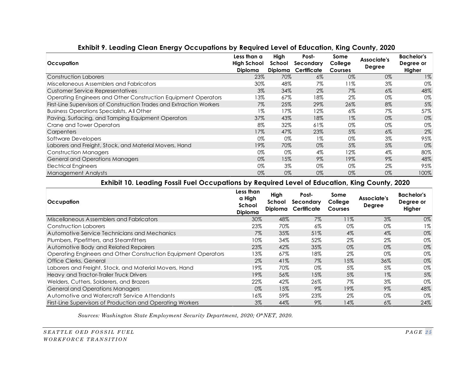| Occupation                                                           | Less than a<br><b>High School</b><br><b>Diploma</b> | High<br>School<br><b>Diploma</b> | Post-<br>Secondary<br>Certificate | Some<br>College<br><b>Courses</b> | Associate's<br>Degree | <b>Bachelor's</b><br>Degree or<br>Higher |
|----------------------------------------------------------------------|-----------------------------------------------------|----------------------------------|-----------------------------------|-----------------------------------|-----------------------|------------------------------------------|
| <b>Construction Laborers</b>                                         | 23%                                                 | 70%                              | $6\%$                             | 0%                                | 0%                    | $1\%$                                    |
| Miscellaneous Assemblers and Fabricators                             | 30%                                                 | 48%                              | 7%                                | 11%                               | $3\%$                 | 0%                                       |
| Customer Service Representatives                                     | $3\%$                                               | 34%                              | 2%                                | $7\%$                             | $6\%$                 | 48%                                      |
| Operating Engineers and Other Construction Equipment Operators       | 13%                                                 | 67%                              | 18%                               | $2\%$                             | 0%                    | 0%                                       |
| First-Line Supervisors of Construction Trades and Extraction Workers | 7%                                                  | 25%                              | 29%                               | 26%                               | 8%                    | 5%                                       |
| <b>Business Operations Specialists, All Other</b>                    | $1\%$                                               | 17%                              | 12%                               | $6\%$                             | 7%                    | 57%                                      |
| Paving, Surfacing, and Tamping Equipment Operators                   | 37%                                                 | 43%                              | 18%                               | $1\%$                             | 0%                    | 0%                                       |
| Crane and Tower Operators                                            | 8%                                                  | 32%                              | 61%                               | 0%                                | 0%                    | 0%                                       |
| Carpenters                                                           | 17%                                                 | 47%                              | 23%                               | 5%                                | 6%                    | 2%                                       |
| Software Developers                                                  | 0%                                                  | 0%                               | 1%                                | 0%                                | 3%                    | 95%                                      |
| Laborers and Freight, Stock, and Material Movers, Hand               | 19%                                                 | 70%                              | 0%                                | 5%                                | 5%                    | 0%                                       |
| <b>Construction Managers</b>                                         | 0%                                                  | 0%                               | 4%                                | 12%                               | 4%                    | 80%                                      |
| <b>General and Operations Managers</b>                               | 0%                                                  | 15%                              | 9%                                | 19%                               | 9%                    | 48%                                      |
| <b>Electrical Engineers</b>                                          | 0%                                                  | $3\%$                            | 0%                                | 0%                                | 2%                    | 95%                                      |
| <b>Management Analysts</b>                                           | 0%                                                  | 0%                               | 0%                                | 0%                                | 0%                    | 100%                                     |

#### **Exhibit 9. Leading Clean Energy Occupations by Required Level of Education, King County, 2020**

#### **Exhibit 10. Leading Fossil Fuel Occupations by Required Level of Education, King County, 2020**

<span id="page-32-0"></span>

| Occupation                                                     | Less than<br>a High<br>School<br><b>Diploma</b> | High<br>School<br><b>Diploma</b> | Post-<br>Secondary<br>Certificate | Some<br>College<br><b>Courses</b> | Associate's<br><b>Degree</b> | <b>Bachelor's</b><br>Degree or<br>Higher |
|----------------------------------------------------------------|-------------------------------------------------|----------------------------------|-----------------------------------|-----------------------------------|------------------------------|------------------------------------------|
| Miscellaneous Assemblers and Fabricators                       | 30%                                             | 48%                              | 7%                                | 11%                               | $3\%$                        | 0%                                       |
| Construction Laborers                                          | 23%                                             | 70%                              | $6\%$                             | $0\%$                             | 0%                           | $1\%$                                    |
| Automotive Service Technicians and Mechanics                   | $7\%$                                           | 35%                              | 51%                               | 4%                                | $4\%$                        | 0%                                       |
| Plumbers, Pipefitters, and Steamfitters                        | 10%                                             | 34%                              | 52%                               | 2%                                | 2%                           | 0%                                       |
| Automotive Body and Related Repairers                          | 23%                                             | 42%                              | 35%                               | 0%                                | 0%                           | 0%                                       |
| Operating Engineers and Other Construction Equipment Operators | 13%                                             | 67%                              | 18%                               | $2\%$                             | 0%                           | 0%                                       |
| Office Clerks, General                                         | 2%                                              | 41%                              | $7\%$                             | 15%                               | 36%                          | 0%                                       |
| Laborers and Freight, Stock, and Material Movers, Hand         | 19%                                             | 70%                              | 0%                                | 5%                                | 5%                           | 0%                                       |
| Heavy and Tractor-Trailer Truck Drivers                        | 19%                                             | 56%                              | 15%                               | 5%                                | $1\%$                        | 5%                                       |
| Welders, Cutters, Solderers, and Brazers                       | 22%                                             | 42%                              | 26%                               | 7%                                | $3\%$                        | 0%                                       |
| General and Operations Managers                                | $0\%$                                           | 15%                              | 9%                                | 19%                               | $9\%$                        | 48%                                      |
| Automotive and Watercraft Service Attendants                   | 16%                                             | 59%                              | 23%                               | $2\%$                             | 0%                           | 0%                                       |
| First-Line Supervisors of Production and Operating Workers     | $3\%$                                           | 44%                              | 9%                                | 14%                               | $6\%$                        | 24%                                      |

<span id="page-32-1"></span>*Sources: Washington State Employment Security Department, 2020; O\*NET, 2020.*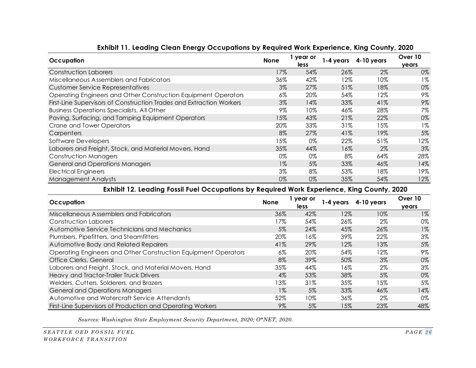| Occupation                                                           |       | vear or | 1-4 years | 4-10 years | Over 10 |
|----------------------------------------------------------------------|-------|---------|-----------|------------|---------|
|                                                                      | None  | less    |           |            | years   |
| <b>Construction Laborers</b>                                         | 17%   | 54%     | 26%       | 2%         | 0%      |
| Miscellaneous Assemblers and Fabricators                             | 36%   | 42%     | 12%       | 10%        | 1%      |
| <b>Customer Service Representatives</b>                              | 3%    | 27%     | 51%       | 18%        | 0%      |
| Operating Engineers and Other Construction Equipment Operators       | 6%    | 20%     | 54%       | 12%        | 9%      |
| First-Line Supervisors of Construction Trades and Extraction Workers | 3%    | 14%     | 33%       | 41%        | 9%      |
| <b>Business Operations Specialists, All Other</b>                    | 9%    | 10%     | 46%       | 28%        | 7%      |
| Paving, Surfacing, and Tamping Equipment Operators                   | 15%   | 43%     | 21%       | 22%        | 0%      |
| <b>Crane and Tower Operators</b>                                     | 20%   | 33%     | 31%       | 15%        | $1\%$   |
| Carpenters                                                           | 8%    | 27%     | 41%       | 19%        | 5%      |
| Software Developers                                                  | 15%   | 0%      | 22%       | 51%        | 12%     |
| Laborers and Freight, Stock, and Material Movers, Hand               | 35%   | 44%     | 16%       | 2%         | 3%      |
| <b>Construction Managers</b>                                         | 0%    | 0%      | 8%        | 64%        | 28%     |
| <b>General and Operations Managers</b>                               | $1\%$ | 5%      | 33%       | 46%        | 14%     |
| <b>Electrical Engineers</b>                                          | 3%    | 8%      | 53%       | 18%        | 19%     |
| <b>Management Analysts</b>                                           | 0%    | 0%      | 35%       | 54%        | 12%     |

#### **Exhibit 11. Leading Clean Energy Occupations by Required Work Experience, King County, 2020**

#### **Exhibit 12. Leading Fossil Fuel Occupations by Required Work Experience, King County, 2020**

<span id="page-33-0"></span>

| Occupation                                                     | None  | year or<br>less | 1-4 years | 4-10 years | Over 10<br><b>years</b> |
|----------------------------------------------------------------|-------|-----------------|-----------|------------|-------------------------|
| Miscellaneous Assemblers and Fabricators                       | 36%   | 42%             | 12%       | 10%        | $1\%$                   |
| Construction Laborers                                          | 17%   | 54%             | 26%       | 2%         | 0%                      |
| Automotive Service Technicians and Mechanics                   | 5%    | 24%             | 45%       | 26%        | $1\%$                   |
| Plumbers, Pipefitters, and Steamfitters                        | 20%   | 16%             | 39%       | 22%        | 3%                      |
| Automotive Body and Related Repairers                          | 41%   | 29%             | 12%       | 13%        | 5%                      |
| Operating Engineers and Other Construction Equipment Operators | $6\%$ | 20%             | 54%       | 12%        | 9%                      |
| Office Clerks, General                                         | 8%    | 39%             | 50%       | 3%         | 0%                      |
| Laborers and Freight, Stock, and Material Movers, Hand         | 35%   | 44%             | 16%       | 2%         | 3%                      |
| Heavy and Tractor-Trailer Truck Drivers                        | $4\%$ | 53%             | 38%       | 5%         | 0%                      |
| Welders, Cutters, Solderers, and Brazers                       | 13%   | 31%             | 35%       | 15%        | 5%                      |
| <b>General and Operations Managers</b>                         | $1\%$ | 5%              | 33%       | 46%        | 14%                     |
| Automotive and Watercraft Service Attendants                   | 52%   | 10%             | 36%       | 2%         | 0%                      |
| First-Line Supervisors of Production and Operating Workers     | 9%    | 5%              | 15%       | 23%        | 48%                     |

<span id="page-33-1"></span>*Sources: Washington State Employment Security Department, 2020; O\*NET, 2020.*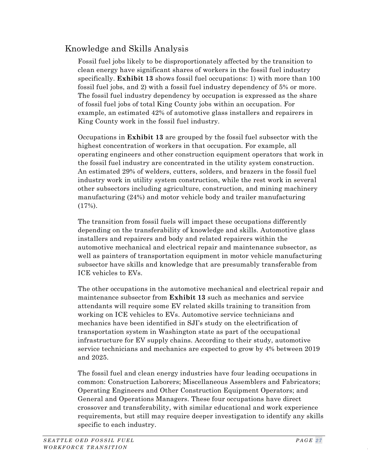# Knowledge and Skills Analysis

Fossil fuel jobs likely to be disproportionately affected by the transition to clean energy have significant shares of workers in the fossil fuel industry specifically. **[Exhibit 13](#page-36-0)** shows fossil fuel occupations: 1) with more than 100 fossil fuel jobs, and 2) with a fossil fuel industry dependency of 5% or more. The fossil fuel industry dependency by occupation is expressed as the share of fossil fuel jobs of total King County jobs within an occupation. For example, an estimated 42% of automotive glass installers and repairers in King County work in the fossil fuel industry.

Occupations in **[Exhibit 13](#page-36-0)** are grouped by the fossil fuel subsector with the highest concentration of workers in that occupation. For example, all operating engineers and other construction equipment operators that work in the fossil fuel industry are concentrated in the utility system construction. An estimated 29% of welders, cutters, solders, and brazers in the fossil fuel industry work in utility system construction, while the rest work in several other subsectors including agriculture, construction, and mining machinery manufacturing (24%) and motor vehicle body and trailer manufacturing  $(17\%)$ .

The transition from fossil fuels will impact these occupations differently depending on the transferability of knowledge and skills. Automotive glass installers and repairers and body and related repairers within the automotive mechanical and electrical repair and maintenance subsector, as well as painters of transportation equipment in motor vehicle manufacturing subsector have skills and knowledge that are presumably transferable from ICE vehicles to EVs.

The other occupations in the automotive mechanical and electrical repair and maintenance subsector from **[Exhibit 13](#page-36-0)** such as mechanics and service attendants will require some EV related skills training to transition from working on ICE vehicles to EVs. Automotive service technicians and mechanics have been identified in SJI's study on the electrification of transportation system in Washington state as part of the occupational infrastructure for EV supply chains. According to their study, automotive service technicians and mechanics are expected to grow by 4% between 2019 and 2025.

The fossil fuel and clean energy industries have four leading occupations in common: Construction Laborers; Miscellaneous Assemblers and Fabricators; Operating Engineers and Other Construction Equipment Operators; and General and Operations Managers. These four occupations have direct crossover and transferability, with similar educational and work experience requirements, but still may require deeper investigation to identify any skills specific to each industry.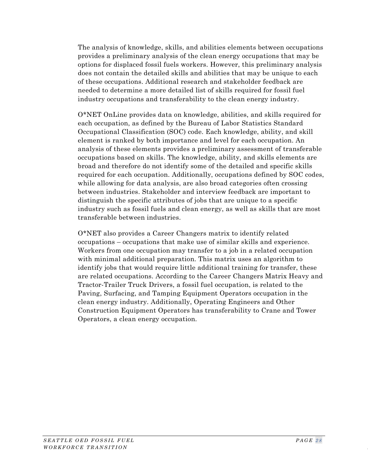The analysis of knowledge, skills, and abilities elements between occupations provides a preliminary analysis of the clean energy occupations that may be options for displaced fossil fuels workers. However, this preliminary analysis does not contain the detailed skills and abilities that may be unique to each of these occupations. Additional research and stakeholder feedback are needed to determine a more detailed list of skills required for fossil fuel industry occupations and transferability to the clean energy industry.

O\*NET OnLine provides data on knowledge, abilities, and skills required for each occupation, as defined by the Bureau of Labor Statistics Standard Occupational Classification (SOC) code. Each knowledge, ability, and skill element is ranked by both importance and level for each occupation. An analysis of these elements provides a preliminary assessment of transferable occupations based on skills. The knowledge, ability, and skills elements are broad and therefore do not identify some of the detailed and specific skills required for each occupation. Additionally, occupations defined by SOC codes, while allowing for data analysis, are also broad categories often crossing between industries. Stakeholder and interview feedback are important to distinguish the specific attributes of jobs that are unique to a specific industry such as fossil fuels and clean energy, as well as skills that are most transferable between industries.

O\*NET also provides a Career Changers matrix to identify related occupations – occupations that make use of similar skills and experience. Workers from one occupation may transfer to a job in a related occupation with minimal additional preparation. This matrix uses an algorithm to identify jobs that would require little additional training for transfer, these are related occupations. According to the Career Changers Matrix Heavy and Tractor-Trailer Truck Drivers, a fossil fuel occupation, is related to the Paving, Surfacing, and Tamping Equipment Operators occupation in the clean energy industry. Additionally, Operating Engineers and Other Construction Equipment Operators has transferability to Crane and Tower Operators, a clean energy occupation.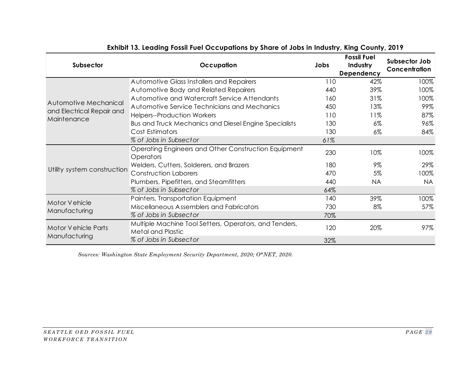<span id="page-36-0"></span>

| Subsector                                | <b>Occupation</b>                                                                  | Jobs | <b>Fossil Fuel</b><br>Industry<br>Dependency | Subsector Job<br>Concentration |
|------------------------------------------|------------------------------------------------------------------------------------|------|----------------------------------------------|--------------------------------|
|                                          | Automotive Glass Installers and Repairers                                          | 110  | 42%                                          | 100%                           |
|                                          | Automotive Body and Related Repairers                                              | 440  | 39%                                          | 100%                           |
| Automotive Mechanical                    | Automotive and Watercraft Service Attendants                                       | 160  | 31%                                          | 100%                           |
|                                          | Automotive Service Technicians and Mechanics                                       | 450  | 13%                                          | 99%                            |
| and Electrical Repair and<br>Maintenance | <b>Helpers--Production Workers</b>                                                 | 110  | 11%                                          | 87%                            |
|                                          | <b>Bus and Truck Mechanics and Diesel Engine Specialists</b>                       | 130  | $6\%$                                        | 96%                            |
|                                          | Cost Estimators                                                                    | 130  | $6\%$                                        | 84%                            |
|                                          | % of Jobs in Subsector                                                             | 61%  |                                              |                                |
|                                          | Operating Engineers and Other Construction Equipment<br>Operators                  | 230  | 10%                                          | 100%                           |
|                                          | Welders, Cutters, Solderers, and Brazers                                           | 180  | 9%                                           | 29%                            |
| Utility system construction              | Construction Laborers                                                              | 470  | 5%                                           | 100%                           |
|                                          | Plumbers, Pipefitters, and Steamfitters                                            | 440  | NA.                                          | <b>NA</b>                      |
|                                          | % of Jobs in Subsector                                                             | 64%  |                                              |                                |
|                                          | Painters, Transportation Equipment                                                 | 140  | 39%                                          | 100%                           |
| Motor Vehicle                            | Miscellaneous Assemblers and Fabricators                                           | 730  | 8%                                           | 57%                            |
| Manufacturing                            | % of Jobs in Subsector                                                             | 70%  |                                              |                                |
| <b>Motor Vehicle Parts</b>               | Multiple Machine Tool Setters, Operators, and Tenders,<br><b>Metal and Plastic</b> | 120  | 20%                                          | 97%                            |
| Manufacturing                            | % of Jobs in Subsector                                                             | 32%  |                                              |                                |

#### **Exhibit 13. Leading Fossil Fuel Occupations by Share of Jobs in Industry, King County, 2019**

*Sources: Washington State Employment Security Department, 2020; O\*NET, 2020.*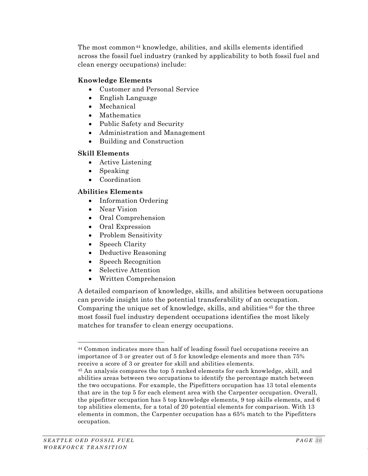The most common<sup>[44](#page-37-0)</sup> knowledge, abilities, and skills elements identified across the fossil fuel industry (ranked by applicability to both fossil fuel and clean energy occupations) include:

#### **Knowledge Elements**

- Customer and Personal Service
- English Language
- Mechanical
- Mathematics
- Public Safety and Security
- Administration and Management
- Building and Construction

#### **Skill Elements**

- Active Listening
- Speaking
- Coordination

#### **Abilities Elements**

- Information Ordering
- Near Vision
- Oral Comprehension
- Oral Expression
- Problem Sensitivity
- Speech Clarity
- Deductive Reasoning
- Speech Recognition
- Selective Attention
- Written Comprehension

A detailed comparison of knowledge, skills, and abilities between occupations can provide insight into the potential transferability of an occupation. Comparing the unique set of knowledge, skills, and abilities [45](#page-37-1) for the three most fossil fuel industry dependent occupations identifies the most likely matches for transfer to clean energy occupations.

<span id="page-37-0"></span><sup>44</sup> Common indicates more than half of leading fossil fuel occupations receive an importance of 3 or greater out of 5 for knowledge elements and more than 75% receive a score of 3 or greater for skill and abilities elements.

<span id="page-37-1"></span><sup>45</sup> An analysis compares the top 5 ranked elements for each knowledge, skill, and abilities areas between two occupations to identify the percentage match between the two occupations. For example, the Pipefitters occupation has 13 total elements that are in the top 5 for each element area with the Carpenter occupation. Overall, the pipefitter occupation has 5 top knowledge elements, 9 top skills elements, and 6 top abilities elements, for a total of 20 potential elements for comparison. With 13 elements in common, the Carpenter occupation has a 65% match to the Pipefitters occupation.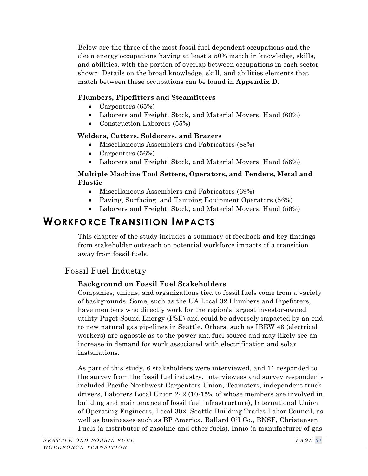Below are the three of the most fossil fuel dependent occupations and the clean energy occupations having at least a 50% match in knowledge, skills, and abilities, with the portion of overlap between occupations in each sector shown. Details on the broad knowledge, skill, and abilities elements that match between these occupations can be found in **Appendix D**.

#### **Plumbers, Pipefitters and Steamfitters**

- Carpenters (65%)
- Laborers and Freight, Stock, and Material Movers, Hand (60%)
- Construction Laborers (55%)

#### **Welders, Cutters, Solderers, and Brazers**

- Miscellaneous Assemblers and Fabricators (88%)
- Carpenters (56%)
- Laborers and Freight, Stock, and Material Movers, Hand (56%)

#### **Multiple Machine Tool Setters, Operators, and Tenders, Metal and Plastic**

- Miscellaneous Assemblers and Fabricators (69%)
- Paving, Surfacing, and Tamping Equipment Operators (56%)
- Laborers and Freight, Stock, and Material Movers, Hand (56%)

# <span id="page-38-0"></span>**WORKFORCE TRANSITION IMPACTS**

This chapter of the study includes a summary of feedback and key findings from stakeholder outreach on potential workforce impacts of a transition away from fossil fuels.

# Fossil Fuel Industry

#### **Background on Fossil Fuel Stakeholders**

Companies, unions, and organizations tied to fossil fuels come from a variety of backgrounds. Some, such as the UA Local 32 Plumbers and Pipefitters, have members who directly work for the region's largest investor-owned utility Puget Sound Energy (PSE) and could be adversely impacted by an end to new natural gas pipelines in Seattle. Others, such as IBEW 46 (electrical workers) are agnostic as to the power and fuel source and may likely see an increase in demand for work associated with electrification and solar installations.

As part of this study, 6 stakeholders were interviewed, and 11 responded to the survey from the fossil fuel industry. Interviewees and survey respondents included Pacific Northwest Carpenters Union, Teamsters, independent truck drivers, Laborers Local Union 242 (10-15% of whose members are involved in building and maintenance of fossil fuel infrastructure), International Union of Operating Engineers, Local 302, Seattle Building Trades Labor Council, as well as businesses such as BP America, Ballard Oil Co., BNSF, Christensen Fuels (a distributor of gasoline and other fuels), Innio (a manufacturer of gas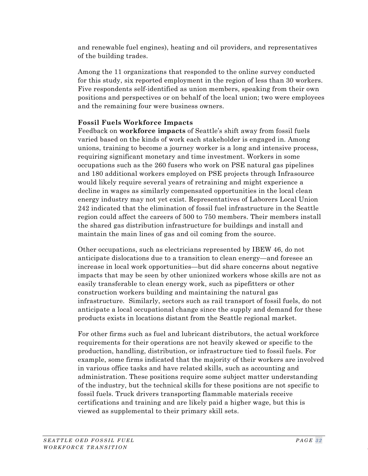and renewable fuel engines), heating and oil providers, and representatives of the building trades.

Among the 11 organizations that responded to the online survey conducted for this study, six reported employment in the region of less than 30 workers. Five respondents self-identified as union members, speaking from their own positions and perspectives or on behalf of the local union; two were employees and the remaining four were business owners.

#### **Fossil Fuels Workforce Impacts**

Feedback on **workforce impacts** of Seattle's shift away from fossil fuels varied based on the kinds of work each stakeholder is engaged in. Among unions, training to become a journey worker is a long and intensive process, requiring significant monetary and time investment. Workers in some occupations such as the 260 fusers who work on PSE natural gas pipelines and 180 additional workers employed on PSE projects through Infrasource would likely require several years of retraining and might experience a decline in wages as similarly compensated opportunities in the local clean energy industry may not yet exist. Representatives of Laborers Local Union 242 indicated that the elimination of fossil fuel infrastructure in the Seattle region could affect the careers of 500 to 750 members. Their members install the shared gas distribution infrastructure for buildings and install and maintain the main lines of gas and oil coming from the source.

Other occupations, such as electricians represented by IBEW 46, do not anticipate dislocations due to a transition to clean energy—and foresee an increase in local work opportunities—but did share concerns about negative impacts that may be seen by other unionized workers whose skills are not as easily transferable to clean energy work, such as pipefitters or other construction workers building and maintaining the natural gas infrastructure. Similarly, sectors such as rail transport of fossil fuels, do not anticipate a local occupational change since the supply and demand for these products exists in locations distant from the Seattle regional market.

For other firms such as fuel and lubricant distributors, the actual workforce requirements for their operations are not heavily skewed or specific to the production, handling, distribution, or infrastructure tied to fossil fuels. For example, some firms indicated that the majority of their workers are involved in various office tasks and have related skills, such as accounting and administration. These positions require some subject matter understanding of the industry, but the technical skills for these positions are not specific to fossil fuels. Truck drivers transporting flammable materials receive certifications and training and are likely paid a higher wage, but this is viewed as supplemental to their primary skill sets.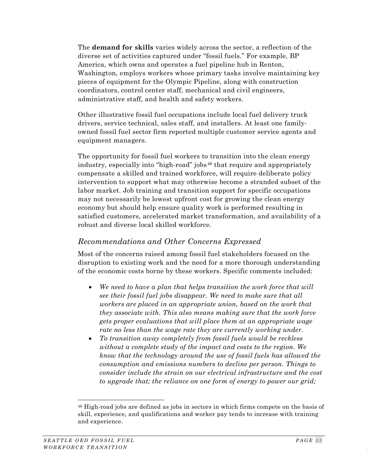The **demand for skills** varies widely across the sector, a reflection of the diverse set of activities captured under "fossil fuels." For example, BP America, which owns and operates a fuel pipeline hub in Renton, Washington, employs workers whose primary tasks involve maintaining key pieces of equipment for the Olympic Pipeline, along with construction coordinators, control center staff, mechanical and civil engineers, administrative staff, and health and safety workers.

Other illustrative fossil fuel occupations include local fuel delivery truck drivers, service technical, sales staff, and installers. At least one familyowned fossil fuel sector firm reported multiple customer service agents and equipment managers.

The opportunity for fossil fuel workers to transition into the clean energy industry, especially into "high-road" jobs [46](#page-40-0) that require and appropriately compensate a skilled and trained workforce, will require deliberate policy intervention to support what may otherwise become a stranded subset of the labor market. Job training and transition support for specific occupations may not necessarily be lowest upfront cost for growing the clean energy economy but should help ensure quality work is performed resulting in satisfied customers, accelerated market transformation, and availability of a robust and diverse local skilled workforce.

### *Recommendations and Other Concerns Expressed*

Most of the concerns raised among fossil fuel stakeholders focused on the disruption to existing work and the need for a more thorough understanding of the economic costs borne by these workers. Specific comments included:

- *We need to have a plan that helps transition the work force that will see their fossil fuel jobs disappear. We need to make sure that all workers are placed in an appropriate union, based on the work that they associate with. This also means making sure that the work force gets proper evaluations that will place them at an appropriate wage rate no less than the wage rate they are currently working under.*
- *To transition away completely from fossil fuels would be reckless without a complete study of the impact and costs to the region. We know that the technology around the use of fossil fuels has allowed the consumption and emissions numbers to decline per person. Things to consider include the strain on our electrical infrastructure and the cost to upgrade that; the reliance on one form of energy to power our grid;*

<span id="page-40-0"></span><sup>46</sup> High-road jobs are defined as jobs in sectors in which firms compete on the basis of skill, experience, and qualifications and worker pay tends to increase with training and experience.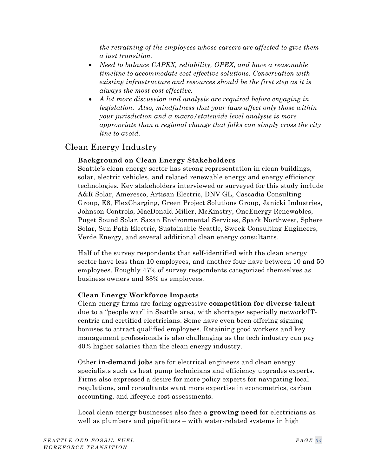*the retraining of the employees whose careers are affected to give them a just transition.*

- *Need to balance CAPEX, reliability, OPEX, and have a reasonable timeline to accommodate cost effective solutions. Conservation with existing infrastructure and resources should be the first step as it is always the most cost effective.*
- *A lot more discussion and analysis are required before engaging in legislation. Also, mindfulness that your laws affect only those within your jurisdiction and a macro/statewide level analysis is more appropriate than a regional change that folks can simply cross the city line to avoid.*

# Clean Energy Industry

#### **Background on Clean Energy Stakeholders**

Seattle's clean energy sector has strong representation in clean buildings, solar, electric vehicles, and related renewable energy and energy efficiency technologies. Key stakeholders interviewed or surveyed for this study include A&R Solar, Ameresco, Artisan Electric, DNV GL, Cascadia Consulting Group, E8, FlexCharging, Green Project Solutions Group, Janicki Industries, Johnson Controls, MacDonald Miller, McKinstry, OneEnergy Renewables, Puget Sound Solar, Sazan Environmental Services, Spark Northwest, Sphere Solar, Sun Path Electric, Sustainable Seattle, Sweek Consulting Engineers, Verde Energy, and several additional clean energy consultants.

Half of the survey respondents that self-identified with the clean energy sector have less than 10 employees, and another four have between 10 and 50 employees. Roughly 47% of survey respondents categorized themselves as business owners and 38% as employees.

#### **Clean Energy Workforce Impacts**

Clean energy firms are facing aggressive **competition for diverse talent** due to a "people war" in Seattle area, with shortages especially network/ITcentric and certified electricians. Some have even been offering signing bonuses to attract qualified employees. Retaining good workers and key management professionals is also challenging as the tech industry can pay 40% higher salaries than the clean energy industry.

Other **in-demand jobs** are for electrical engineers and clean energy specialists such as heat pump technicians and efficiency upgrades experts. Firms also expressed a desire for more policy experts for navigating local regulations, and consultants want more expertise in econometrics, carbon accounting, and lifecycle cost assessments.

Local clean energy businesses also face a **growing need** for electricians as well as plumbers and pipefitters – with water-related systems in high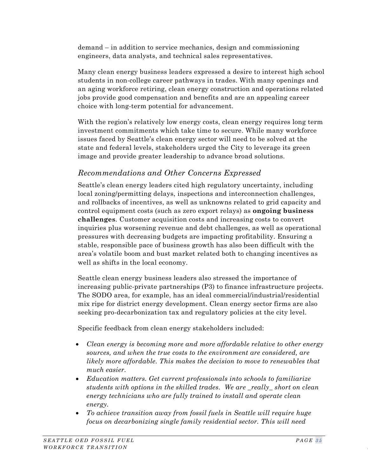demand – in addition to service mechanics, design and commissioning engineers, data analysts, and technical sales representatives.

Many clean energy business leaders expressed a desire to interest high school students in non-college career pathways in trades. With many openings and an aging workforce retiring, clean energy construction and operations related jobs provide good compensation and benefits and are an appealing career choice with long-term potential for advancement.

With the region's relatively low energy costs, clean energy requires long term investment commitments which take time to secure. While many workforce issues faced by Seattle's clean energy sector will need to be solved at the state and federal levels, stakeholders urged the City to leverage its green image and provide greater leadership to advance broad solutions.

# *Recommendations and Other Concerns Expressed*

Seattle's clean energy leaders cited high regulatory uncertainty, including local zoning/permitting delays, inspections and interconnection challenges, and rollbacks of incentives, as well as unknowns related to grid capacity and control equipment costs (such as zero export relays) as **ongoing business challenges**. Customer acquisition costs and increasing costs to convert inquiries plus worsening revenue and debt challenges, as well as operational pressures with decreasing budgets are impacting profitability. Ensuring a stable, responsible pace of business growth has also been difficult with the area's volatile boom and bust market related both to changing incentives as well as shifts in the local economy.

Seattle clean energy business leaders also stressed the importance of increasing public-private partnerships (P3) to finance infrastructure projects. The SODO area, for example, has an ideal commercial/industrial/residential mix ripe for district energy development. Clean energy sector firms are also seeking pro-decarbonization tax and regulatory policies at the city level.

Specific feedback from clean energy stakeholders included:

- *Clean energy is becoming more and more affordable relative to other energy sources, and when the true costs to the environment are considered, are likely more affordable. This makes the decision to move to renewables that much easier.*
- *Education matters. Get current professionals into schools to familiarize students with options in the skilled trades. We are \_really\_ short on clean energy technicians who are fully trained to install and operate clean energy.*
- *To achieve transition away from fossil fuels in Seattle will require huge focus on decarbonizing single family residential sector. This will need*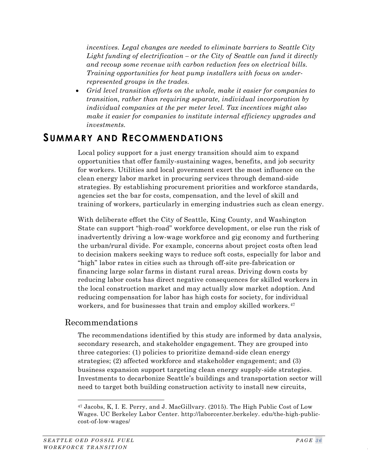*incentives. Legal changes are needed to eliminate barriers to Seattle City Light funding of electrification – or the City of Seattle can fund it directly and recoup some revenue with carbon reduction fees on electrical bills. Training opportunities for heat pump installers with focus on underrepresented groups in the trades.*

• *Grid level transition efforts on the whole, make it easier for companies to transition, rather than requiring separate, individual incorporation by individual companies at the per meter level. Tax incentives might also make it easier for companies to institute internal efficiency upgrades and investments.*

# <span id="page-43-0"></span>**SUMMARY AND RECOMMENDATIONS**

Local policy support for a just energy transition should aim to expand opportunities that offer family-sustaining wages, benefits, and job security for workers. Utilities and local government exert the most influence on the clean energy labor market in procuring services through demand-side strategies. By establishing procurement priorities and workforce standards, agencies set the bar for costs, compensation, and the level of skill and training of workers, particularly in emerging industries such as clean energy.

With deliberate effort the City of Seattle, King County, and Washington State can support "high-road" workforce development, or else run the risk of inadvertently driving a low-wage workforce and gig economy and furthering the urban/rural divide. For example, concerns about project costs often lead to decision makers seeking ways to reduce soft costs, especially for labor and "high" labor rates in cities such as through off-site pre-fabrication or financing large solar farms in distant rural areas. Driving down costs by reducing labor costs has direct negative consequences for skilled workers in the local construction market and may actually slow market adoption. And reducing compensation for labor has high costs for society, for individual workers, and for businesses that train and employ skilled workers.<sup>[47](#page-43-1)</sup>

## Recommendations

The recommendations identified by this study are informed by data analysis, secondary research, and stakeholder engagement. They are grouped into three categories: (1) policies to prioritize demand-side clean energy strategies; (2) affected workforce and stakeholder engagement; and (3) business expansion support targeting clean energy supply-side strategies. Investments to decarbonize Seattle's buildings and transportation sector will need to target both building construction activity to install new circuits,

<span id="page-43-1"></span><sup>47</sup> Jacobs, K, I. E. Perry, and J. MacGillvary. (2015). The High Public Cost of Low Wages. UC Berkeley Labor Center. http://laborcenter.berkeley. edu/the-high-publiccost-of-low-wages/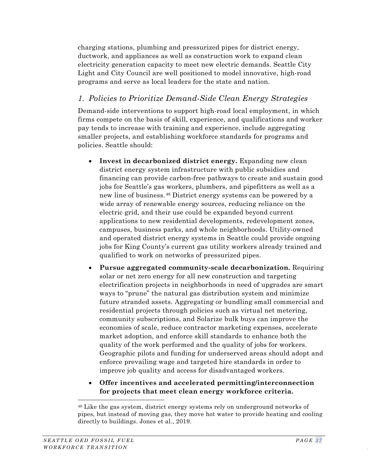charging stations, plumbing and pressurized pipes for district energy, ductwork, and appliances as well as construction work to expand clean electricity generation capacity to meet new electric demands. Seattle City Light and City Council are well positioned to model innovative, high-road programs and serve as local leaders for the state and nation.

## *1. Policies to Prioritize Demand-Side Clean Energy Strategies*

Demand-side interventions to support high-road local employment, in which firms compete on the basis of skill, experience, and qualifications and worker pay tends to increase with training and experience, include aggregating smaller projects, and establishing workforce standards for programs and policies. Seattle should:

- **Invest in decarbonized district energy.** Expanding new clean district energy system infrastructure with public subsidies and financing can provide carbon-free pathways to create and sustain good jobs for Seattle's gas workers, plumbers, and pipefitters as well as a new line of business. [48](#page-44-0) District energy systems can be powered by a wide array of renewable energy sources, reducing reliance on the electric grid, and their use could be expanded beyond current applications to new residential developments, redevelopment zones, campuses, business parks, and whole neighborhoods. Utility-owned and operated district energy systems in Seattle could provide ongoing jobs for King County's current gas utility workers already trained and qualified to work on networks of pressurized pipes.
- **Pursue aggregated community-scale decarbonization.** Requiring solar or net zero energy for all new construction and targeting electrification projects in neighborhoods in need of upgrades are smart ways to "prune" the natural gas distribution system and minimize future stranded assets. Aggregating or bundling small commercial and residential projects through policies such as virtual net metering, community subscriptions, and Solarize bulk buys can improve the economies of scale, reduce contractor marketing expenses, accelerate market adoption, and enforce skill standards to enhance both the quality of the work performed and the quality of jobs for workers. Geographic pilots and funding for underserved areas should adopt and enforce prevailing wage and targeted hire standards in order to improve job quality and access for disadvantaged workers.
- **Offer incentives and accelerated permitting/interconnection for projects that meet clean energy workforce criteria.**

<span id="page-44-0"></span><sup>48</sup> Like the gas system, district energy systems rely on underground networks of pipes, but instead of moving gas, they move hot water to provide heating and cooling directly to buildings. Jones et al., 2019.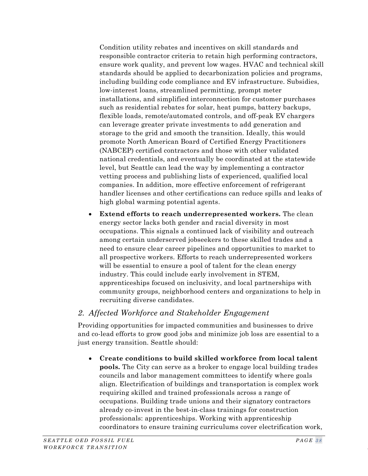Condition utility rebates and incentives on skill standards and responsible contractor criteria to retain high performing contractors, ensure work quality, and prevent low wages. HVAC and technical skill standards should be applied to decarbonization policies and programs, including building code compliance and EV infrastructure. Subsidies, low-interest loans, streamlined permitting, prompt meter installations, and simplified interconnection for customer purchases such as residential rebates for solar, heat pumps, battery backups, flexible loads, remote/automated controls, and off-peak EV chargers can leverage greater private investments to add generation and storage to the grid and smooth the transition. Ideally, this would promote North American Board of Certified Energy Practitioners (NABCEP) certified contractors and those with other validated national credentials, and eventually be coordinated at the statewide level, but Seattle can lead the way by implementing a contractor vetting process and publishing lists of experienced, qualified local companies. In addition, more effective enforcement of refrigerant handler licenses and other certifications can reduce spills and leaks of high global warming potential agents.

• **Extend efforts to reach underrepresented workers.** The clean energy sector lacks both gender and racial diversity in most occupations. This signals a continued lack of visibility and outreach among certain underserved jobseekers to these skilled trades and a need to ensure clear career pipelines and opportunities to market to all prospective workers. Efforts to reach underrepresented workers will be essential to ensure a pool of talent for the clean energy industry. This could include early involvement in STEM, apprenticeships focused on inclusivity, and local partnerships with community groups, neighborhood centers and organizations to help in recruiting diverse candidates.

#### *2. Affected Workforce and Stakeholder Engagement*

Providing opportunities for impacted communities and businesses to drive and co-lead efforts to grow good jobs and minimize job loss are essential to a just energy transition. Seattle should:

• **Create conditions to build skilled workforce from local talent pools.** The City can serve as a broker to engage local building trades councils and labor management committees to identify where goals align. Electrification of buildings and transportation is complex work requiring skilled and trained professionals across a range of occupations. Building trade unions and their signatory contractors already co-invest in the best-in-class trainings for construction professionals: apprenticeships. Working with apprenticeship coordinators to ensure training curriculums cover electrification work,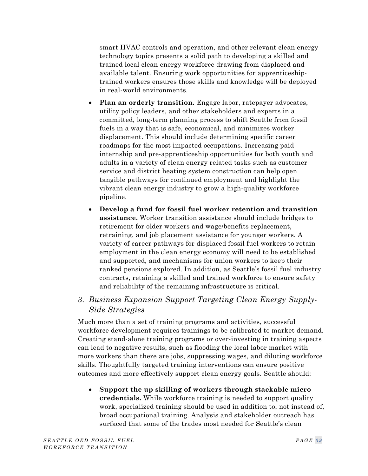smart HVAC controls and operation, and other relevant clean energy technology topics presents a solid path to developing a skilled and trained local clean energy workforce drawing from displaced and available talent. Ensuring work opportunities for apprenticeshiptrained workers ensures those skills and knowledge will be deployed in real-world environments.

- **Plan an orderly transition.** Engage labor, ratepayer advocates, utility policy leaders, and other stakeholders and experts in a committed, long-term planning process to shift Seattle from fossil fuels in a way that is safe, economical, and minimizes worker displacement. This should include determining specific career roadmaps for the most impacted occupations. Increasing paid internship and pre-apprenticeship opportunities for both youth and adults in a variety of clean energy related tasks such as customer service and district heating system construction can help open tangible pathways for continued employment and highlight the vibrant clean energy industry to grow a high-quality workforce pipeline.
- **Develop a fund for fossil fuel worker retention and transition assistance.** Worker transition assistance should include bridges to retirement for older workers and wage/benefits replacement, retraining, and job placement assistance for younger workers. A variety of career pathways for displaced fossil fuel workers to retain employment in the clean energy economy will need to be established and supported, and mechanisms for union workers to keep their ranked pensions explored. In addition, as Seattle's fossil fuel industry contracts, retaining a skilled and trained workforce to ensure safety and reliability of the remaining infrastructure is critical.

## *3. Business Expansion Support Targeting Clean Energy Supply-Side Strategies*

Much more than a set of training programs and activities, successful workforce development requires trainings to be calibrated to market demand. Creating stand-alone training programs or over-investing in training aspects can lead to negative results, such as flooding the local labor market with more workers than there are jobs, suppressing wages, and diluting workforce skills. Thoughtfully targeted training interventions can ensure positive outcomes and more effectively support clean energy goals. Seattle should:

• **Support the up skilling of workers through stackable micro credentials.** While workforce training is needed to support quality work, specialized training should be used in addition to, not instead of, broad occupational training. Analysis and stakeholder outreach has surfaced that some of the trades most needed for Seattle's clean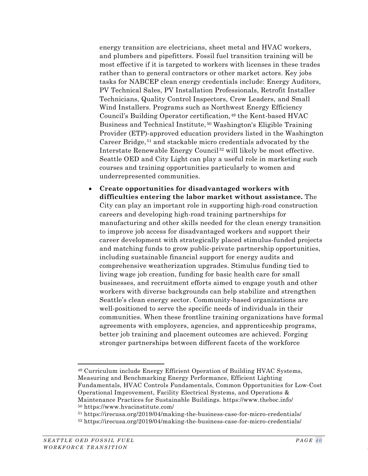energy transition are electricians, sheet metal and HVAC workers, and plumbers and pipefitters. Fossil fuel transition training will be most effective if it is targeted to workers with licenses in these trades rather than to general contractors or other market actors. Key jobs tasks for NABCEP clean energy credentials include: Energy Auditors, PV Technical Sales, PV Installation Professionals, Retrofit Installer Technicians, Quality Control Inspectors, Crew Leaders, and Small Wind Installers. Programs such as Northwest Energy Efficiency Council's Building Operator certification, [49](#page-47-0) the Kent-based HVAC Business and Technical Institute, [50](#page-47-1) Washington's Eligible Training Provider (ETP)-approved education providers listed in the Washington Career Bridge, [51](#page-47-2) and stackable micro credentials advocated by the Interstate Renewable Energy Council [52](#page-47-3) will likely be most effective. Seattle OED and City Light can play a useful role in marketing such courses and training opportunities particularly to women and underrepresented communities.

• **Create opportunities for disadvantaged workers with difficulties entering the labor market without assistance.** The City can play an important role in supporting high-road construction careers and developing high-road training partnerships for manufacturing and other skills needed for the clean energy transition to improve job access for disadvantaged workers and support their career development with strategically placed stimulus-funded projects and matching funds to grow public-private partnership opportunities, including sustainable financial support for energy audits and comprehensive weatherization upgrades. Stimulus funding tied to living wage job creation, funding for basic health care for small businesses, and recruitment efforts aimed to engage youth and other workers with diverse backgrounds can help stabilize and strengthen Seattle's clean energy sector. Community-based organizations are well-positioned to serve the specific needs of individuals in their communities. When these frontline training organizations have formal agreements with employers, agencies, and apprenticeship programs, better job training and placement outcomes are achieved. Forging stronger partnerships between different facets of the workforce

<span id="page-47-0"></span><sup>49</sup> Curriculum include Energy Efficient Operation of Building HVAC Systems, Measuring and Benchmarking Energy Performance, Efficient Lighting Fundamentals, HVAC Controls Fundamentals, Common Opportunities for Low-Cost Operational Improvement, Facility Electrical Systems, and Operations & Maintenance Practices for Sustainable Buildings. https://www.theboc.info/ <sup>50</sup> https://www.hvacinstitute.com/

<span id="page-47-3"></span><span id="page-47-2"></span><span id="page-47-1"></span><sup>51</sup> https://irecusa.org/2019/04/making-the-business-case-for-micro-credentials/

<sup>52</sup> https://irecusa.org/2019/04/making-the-business-case-for-micro-credentials/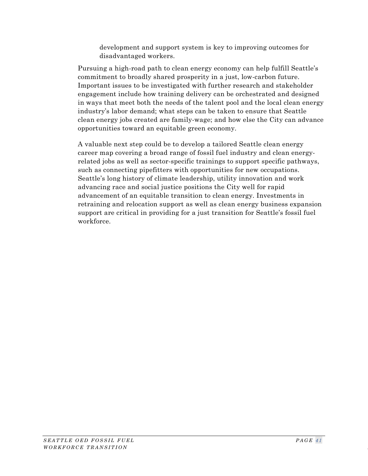development and support system is key to improving outcomes for disadvantaged workers.

Pursuing a high-road path to clean energy economy can help fulfill Seattle's commitment to broadly shared prosperity in a just, low-carbon future. Important issues to be investigated with further research and stakeholder engagement include how training delivery can be orchestrated and designed in ways that meet both the needs of the talent pool and the local clean energy industry's labor demand; what steps can be taken to ensure that Seattle clean energy jobs created are family-wage; and how else the City can advance opportunities toward an equitable green economy.

A valuable next step could be to develop a tailored Seattle clean energy career map covering a broad range of fossil fuel industry and clean energyrelated jobs as well as sector-specific trainings to support specific pathways, such as connecting pipefitters with opportunities for new occupations. Seattle's long history of climate leadership, utility innovation and work advancing race and social justice positions the City well for rapid advancement of an equitable transition to clean energy. Investments in retraining and relocation support as well as clean energy business expansion support are critical in providing for a just transition for Seattle's fossil fuel workforce.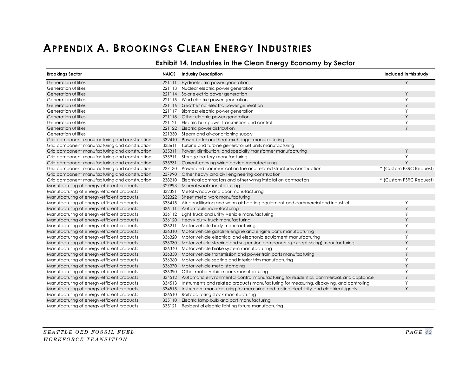# **APPENDIX A. BROOKINGS CLEAN ENERGY INDUSTRIES**

#### **Exhibit 14. Industries in the Clean Energy Economy by Sector**

<span id="page-49-1"></span><span id="page-49-0"></span>

| <b>Brookings Sector</b>                       | <b>NAICS</b> | <b>Industry Description</b>                                                                      | Included in this study  |
|-----------------------------------------------|--------------|--------------------------------------------------------------------------------------------------|-------------------------|
| Generation utilities                          | 221111       | Hydroelectric power generation                                                                   | Y                       |
| Generation utilities                          |              | 221113 Nuclear electric power generation                                                         |                         |
| Generation utilities                          |              | 221114 Solar electric power generation                                                           | Y                       |
| Generation utilities                          |              | 221115 Wind electric power generation                                                            | Y                       |
| Generation utilities                          |              | 221116 Geothermal electric power generation                                                      | Y                       |
| Generation utilities                          | 221117       | Biomass electric power generation                                                                | Y                       |
| Generation utilities                          |              | 221118 Other electric power generation                                                           | Y                       |
| Generation utilities                          | 221121       | Electric bulk power transmission and control                                                     | Y                       |
| Generation utilities                          |              | 221122 Electric power distribution                                                               | Y                       |
| Generation utilities                          |              | 221330 Steam and air-conditioning supply                                                         |                         |
| Grid component manufacturing and construction | 332410       | Power boiler and heat exchanger manufacturing                                                    |                         |
| Grid component manufacturing and construction |              | 333611 Turbine and turbine generator set units manufacturing                                     |                         |
| Grid component manufacturing and construction | 335311       | Power, distribution, and specialty transformer manufacturing                                     | Y                       |
| Grid component manufacturing and construction | 335911       | Storage battery manufacturing                                                                    | Y                       |
| Grid component manufacturing and construction | 335931       | Current-carrying wiring device manufacturing                                                     | Y                       |
| Grid component manufacturing and construction | 237130       | Power and communication line and related structures construction                                 | Y (Custom PSRC Request) |
| Grid component manufacturing and construction | 237990       | Other heavy and civil engineering construction                                                   |                         |
| Grid component manufacturing and construction | 238210       | Electrical contractors and other wiring installation contractors                                 | Y (Custom PSRC Request) |
| Manufacturing of energy-efficient products    |              | 327993 Mineral wool manufacturing                                                                |                         |
| Manufacturing of energy-efficient products    |              | 332321 Metal window and door manufacturing                                                       |                         |
| Manufacturing of energy-efficient products    |              | 332322 Sheet metal work manufacturing                                                            |                         |
| Manufacturing of energy-efficient products    |              | 333415 Air-conditioning and warm air heating equipment and commercial and industrial             | Y                       |
| Manufacturing of energy-efficient products    |              | 336111 Automobile manufacturing                                                                  | Y                       |
| Manufacturing of energy-efficient products    |              | 336112 Light truck and utility vehicle manufacturing                                             | Υ                       |
| Manufacturing of energy-efficient products    |              | 336120 Heavy duty truck manufacturing                                                            | Y                       |
| Manufacturing of energy-efficient products    |              | 336211 Motor vehicle body manufacturing                                                          | Y                       |
| Manufacturing of energy-efficient products    |              | 336310 Motor vehicle gasoline engine and engine parts manufacturing                              | Y                       |
| Manufacturing of energy-efficient products    | 336320       | Motor vehicle electrical and electronic equipment manufacturing                                  | Y                       |
| Manufacturing of energy-efficient products    | 336330       | Motor vehicle steering and suspension components (except spring) manufacturing                   | Y                       |
| Manufacturing of energy-efficient products    | 336340       | Motor vehicle brake system manufacturing                                                         | Y                       |
| Manufacturing of energy-efficient products    |              | 336350 Motor vehicle transmission and power train parts manufacturing                            | Y                       |
| Manufacturing of energy-efficient products    | 336360       | Motor vehicle seating and interior trim manufacturing                                            | Y                       |
| Manufacturing of energy-efficient products    |              | 336370 Motor vehicle metal stamping                                                              | Y                       |
| Manufacturing of energy-efficient products    |              | 336390 Other motor vehicle parts manufacturing                                                   | Y                       |
| Manufacturing of energy-efficient products    |              | 334512 Automatic environmental control manufacturing for residential, commercial, and appliance  | Y                       |
| Manufacturing of energy-efficient products    |              | 334513 Instruments and related products manufacturing for measuring, displaying, and controlling | Υ                       |
| Manufacturing of energy-efficient products    |              | 334515 Instrument manufacturing for measuring and testing electricity and electrical signals     | Y                       |
| Manufacturing of energy-efficient products    |              | 336510 Railroad rolling stock manufacturing                                                      |                         |
| Manufacturing of energy-efficient products    |              | 335110 Electric lamp bulb and part manufacturing                                                 |                         |
| Manufacturing of energy-efficient products    | 335121       | Residential electric lighting fixture manufacturing                                              |                         |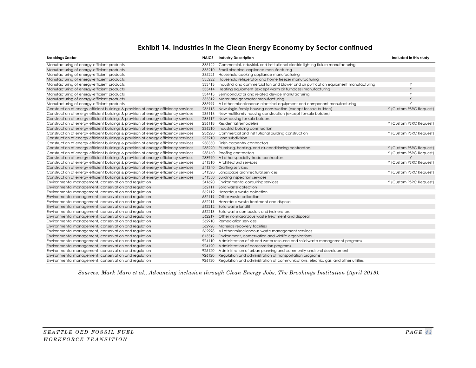#### **Exhibit 14. Industries in the Clean Energy Economy by Sector continued**

| <b>Brookings Sector</b>                                                              |        | <b>NAICS</b> Industry Description                                                            | Included in this study  |
|--------------------------------------------------------------------------------------|--------|----------------------------------------------------------------------------------------------|-------------------------|
| Manufacturing of energy-efficient products                                           |        | 335122 Commercial, industrial, and institutional electric lighting fixture manufacturing     |                         |
| Manufacturing of energy-efficient products                                           |        | 335210 Small electrical appliance manufacturing                                              |                         |
| Manufacturing of energy-efficient products                                           |        | 335221 Household cooking appliance manufacturing                                             |                         |
| Manufacturing of energy-efficient products                                           |        | 335222 Household refrigerator and home freezer manufacturing                                 |                         |
| Manufacturing of energy-efficient products                                           |        | 333413 Industrial and commercial fan and blower and air purification equipment manufacturing | Y                       |
| Manufacturing of energy-efficient products                                           |        | 333414 Heating equipment (except warm air furnaces) manufacturing                            | Y                       |
| Manufacturing of energy-efficient products                                           |        | 334413 Semiconductor and related device manufacturing                                        | Υ                       |
| Manufacturing of energy-efficient products                                           |        | 335312 Motor and generator manufacturing                                                     | Y                       |
| Manufacturing of energy-efficient products                                           |        | 335999 All other miscellaneous electrical equipment and component manufacturing              | Y                       |
| Construction of energy efficient buildings & provision of energy efficiency services |        | 236115 New single-family housing construction (except for-sale builders)                     | Y (Custom PSRC Request) |
| Construction of energy efficient buildings & provision of energy efficiency services |        | 236116 New multifamily housing construction (except for-sale builders)                       |                         |
| Construction of energy efficient buildings & provision of energy efficiency services |        | 236117 New housing for-sale builders                                                         |                         |
| Construction of energy efficient buildings & provision of energy efficiency services |        | 236118 Residential remodelers                                                                | Y (Custom PSRC Request) |
| Construction of energy efficient buildings & provision of energy efficiency services |        | 236210 Industrial building construction                                                      |                         |
| Construction of energy efficient buildings & provision of energy efficiency services | 236220 | Commercial and institutional building construction                                           | Y (Custom PSRC Request) |
| Construction of energy efficient buildings & provision of energy efficiency services |        | 237210 Land subdivision                                                                      |                         |
| Construction of energy efficient buildings & provision of energy efficiency services |        | 238350 Finish carpentry contractors                                                          |                         |
| Construction of energy efficient buildings & provision of energy efficiency services | 238220 | Plumbing, heating, and air-conditioning contractors                                          | Y (Custom PSRC Request) |
| Construction of energy efficient buildings & provision of energy efficiency services |        | 238160 Roofing contractors                                                                   | Y (Custom PSRC Request) |
| Construction of energy efficient buildings & provision of energy efficiency services |        | 238990 All other specialty trade contractors                                                 |                         |
| Construction of energy efficient buildings & provision of energy efficiency services |        | 541310 Architectural services                                                                | Y (Custom PSRC Request) |
| Construction of energy efficient buildings & provision of energy efficiency services | 541340 | <b>Drafting services</b>                                                                     |                         |
| Construction of energy efficient buildings & provision of energy efficiency services | 541320 | Landscape architectural services                                                             | Y (Custom PSRC Request) |
| Construction of energy efficient buildings & provision of energy efficiency services |        | 541350 Building inspection services                                                          |                         |
| Environmental management, conservation and regulation                                |        | 541620 Environmental consulting services                                                     | Y (Custom PSRC Request) |
| Environmental management, conservation and regulation                                |        | 562111 Solid waste collection                                                                |                         |
| Environmental management, conservation and regulation                                |        | 562112 Hazardous waste collection                                                            |                         |
| Environmental management, conservation and regulation                                |        | 562119 Other waste collection                                                                |                         |
| Environmental management, conservation and regulation                                |        | 562211 Hazardous waste treatment and disposal                                                |                         |
| Environmental management, conservation and regulation                                |        | 562212 Solid waste landfill                                                                  |                         |
| Environmental management, conservation and regulation                                |        | 562213 Solid waste combustors and incinerators                                               |                         |
| Environmental management, conservation and regulation                                |        | 562219 Other nonhazardous waste treatment and disposal                                       |                         |
| Environmental management, conservation and regulation                                |        | 562910 Remediation services                                                                  |                         |
| Environmental management, conservation and regulation                                |        | 562920 Materials recovery facilities                                                         |                         |
| Environmental management, conservation and regulation                                |        | 562998 All other miscellaneous waste management services                                     |                         |
| Environmental management, conservation and regulation                                |        | 813312 Environment, conservation and wildlife organizations                                  |                         |
| Environmental management, conservation and regulation                                |        | 924110 Administration of air and water resource and solid waste management programs          |                         |
| Environmental management, conservation and regulation                                |        | 924120 Administration of conservation programs                                               |                         |
| Environmental management, conservation and regulation                                |        | 925120 Administration of urban planning and community and rural development                  |                         |
| Environmental management, conservation and regulation                                |        | 926120 Regulation and administration of transportation programs                              |                         |
| Environmental management, conservation and regulation                                |        | 926130 Regulation and administration of communications, electric, gas, and other utilities   |                         |

*Sources: Mark Muro et al., Advancing inclusion through Clean Energy Jobs, The Brookings Institution (April 2019).*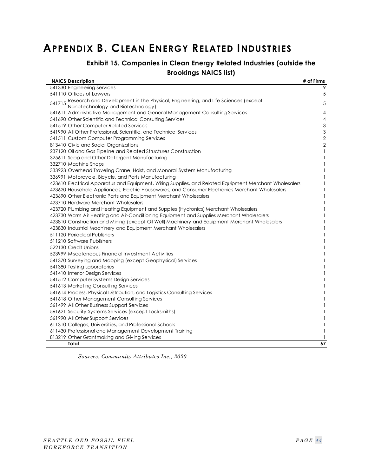# <span id="page-51-1"></span><span id="page-51-0"></span>**APPENDIX B. CLEAN ENERGY RELATED INDUSTRIES**

# **Exhibit 15. Companies in Clean Energy Related Industries (outside the**

#### **Brookings NAICS list)**

| <b>NAICS Description</b>                                                                               | # of Firms     |
|--------------------------------------------------------------------------------------------------------|----------------|
| 541330 Engineering Services                                                                            | 9              |
| 541110 Offices of Lawyers                                                                              | 5              |
| 541715 Research and Development in the Physical, Engineering, and Life Sciences (except                | 5              |
| Nanotechnology and Biotechnology)                                                                      |                |
| 541611 Administrative Management and General Management Consulting Services                            | $\overline{4}$ |
| 541690 Other Scientific and Technical Consulting Services                                              | $\overline{4}$ |
| 541519 Other Computer Related Services                                                                 | $\mathfrak{Z}$ |
| 541990 All Other Professional, Scientific, and Technical Services                                      | $\mathfrak 3$  |
| 541511 Custom Computer Programming Services                                                            | $\overline{2}$ |
| 813410 Civic and Social Organizations                                                                  | $\overline{2}$ |
| 237120 Oil and Gas Pipeline and Related Structures Construction                                        | $\mathbf{1}$   |
| 325611 Soap and Other Detergent Manufacturing                                                          | $\mathbf{1}$   |
| 332710 Machine Shops                                                                                   | $\mathbf{1}$   |
| 333923 Overhead Traveling Crane, Hoist, and Monorail System Manufacturing                              | 1              |
| 336991 Motorcycle, Bicycle, and Parts Manufacturing                                                    | $\mathbf{1}$   |
| 423610 Electrical Apparatus and Equipment, Wiring Supplies, and Related Equipment Merchant Wholesalers | 1              |
| 423620 Household Appliances, Electric Housewares, and Consumer Electronics Merchant Wholesalers        | 1              |
| 423690 Other Electronic Parts and Equipment Merchant Wholesalers                                       | 1              |
| 423710 Hardware Merchant Wholesalers                                                                   | $\mathbf{1}$   |
| 423720 Plumbing and Heating Equipment and Supplies (Hydronics) Merchant Wholesalers                    | 1              |
| 423730 Warm Air Heating and Air-Conditioning Equipment and Supplies Merchant Wholesalers               | 1              |
| 423810 Construction and Mining (except Oil Well) Machinery and Equipment Merchant Wholesalers          | 1              |
| 423830 Industrial Machinery and Equipment Merchant Wholesalers                                         | 1              |
| 511120 Periodical Publishers                                                                           | 1              |
| 511210 Software Publishers                                                                             | 1              |
| 522130 Credit Unions                                                                                   | 1              |
| 523999 Miscellaneous Financial Investment Activities                                                   | 1              |
| 541370 Surveying and Mapping (except Geophysical) Services                                             | 1              |
| 541380 Testing Laboratories                                                                            | 1              |
| 541410 Interior Design Services                                                                        | 1              |
| 541512 Computer Systems Design Services                                                                | 1              |
| 541613 Marketing Consulting Services                                                                   | 1              |
| 541614 Process, Physical Distribution, and Logistics Consulting Services                               | 1              |
| 541618 Other Management Consulting Services                                                            | 1              |
| 561499 All Other Business Support Services                                                             | 1              |
| 561621 Security Systems Services (except Locksmiths)                                                   | 1              |
| 561990 All Other Support Services                                                                      | 1              |
| 611310 Colleges, Universities, and Professional Schools                                                | $\mathbf{1}$   |
| 611430 Professional and Management Development Training                                                | 1              |
| 813219 Other Grantmaking and Giving Services                                                           |                |
| Total                                                                                                  | 67             |

*Sources: Community Attributes Inc., 2020.*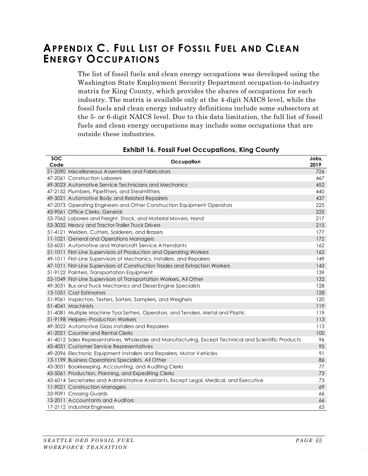# <span id="page-52-0"></span>**APPENDIX C. FULL LIST OF FOSSIL FUEL AND CLEAN ENERGY OCCUPATIONS**

The list of fossil fuels and clean energy occupations was developed using the Washington State Employment Security Department occupation-to-industry matrix for King County, which provides the shares of occupations for each industry. The matrix is available only at the 4-digit NAICS level, while the fossil fuels and clean energy industry definitions include some subsectors at the 5- or 6-digit NAICS level. Due to this data limitation, the full list of fossil fuels and clean energy occupations may include some occupations that are outside these industries.

<span id="page-52-1"></span>

| <b>SOC</b><br>Code | Occupation                                                                                           | Jobs,<br>2019 |
|--------------------|------------------------------------------------------------------------------------------------------|---------------|
|                    | 51-2090 Miscellaneous Assemblers and Fabricators                                                     | 726           |
|                    | 47-2061 Construction Laborers                                                                        | 467           |
|                    | 49-3023 Automotive Service Technicians and Mechanics                                                 | 452           |
|                    | 47-2152 Plumbers, Pipefitters, and Steamfitters                                                      | 440           |
|                    | 49-3021 Automotive Body and Related Repairers                                                        | 437           |
|                    | 47-2073 Operating Engineers and Other Construction Equipment Operators                               | 225           |
|                    | 43-9061 Office Clerks, General                                                                       | 225           |
|                    | 53-7062 Laborers and Freight, Stock, and Material Movers, Hand                                       | 217           |
|                    | 53-3032 Heavy and Tractor-Trailer Truck Drivers                                                      | 215           |
|                    | 51-4121 Welders, Cutters, Solderers, and Brazers                                                     | 177           |
|                    | 11-1021 General and Operations Managers                                                              | 172           |
|                    | 53-6031 Automotive and Watercraft Service Attendants                                                 | 162           |
|                    | 51-1011 First-Line Supervisors of Production and Operating Workers                                   | 162           |
|                    | 49-1011 First-Line Supervisors of Mechanics, Installers, and Repairers                               | 149           |
|                    | 47-1011 First-Line Supervisors of Construction Trades and Extraction Workers                         | 143           |
|                    | 51-9122 Painters, Transportation Equipment                                                           | 139           |
|                    | 53-1049 First-Line Supervisors of Transportation Workers, All Other                                  | 132           |
|                    | 49-3031 Bus and Truck Mechanics and Diesel Engine Specialists                                        | 128           |
|                    | 13-1051 Cost Estimators                                                                              | 128           |
|                    | 51-9061 Inspectors, Testers, Sorters, Samplers, and Weighers                                         | 120           |
|                    | 51-4041 Machinists                                                                                   | 119           |
|                    | 51-4081 Multiple Machine Tool Setters, Operators, and Tenders, Metal and Plastic                     | 119           |
|                    | 51-9198 Helpers--Production Workers                                                                  | 113           |
|                    | 49-3022 Automotive Glass Installers and Repairers                                                    | 113           |
|                    | 41-2021 Counter and Rental Clerks                                                                    | 100           |
|                    | 41-4012 Sales Representatives, Wholesale and Manufacturing, Except Technical and Scientific Products | 96            |
|                    | 43-4051 Customer Service Representatives                                                             | 95            |
|                    | 49-2096 Electronic Equipment Installers and Repairers, Motor Vehicles                                | 91            |
|                    | 13-1199 Business Operations Specialists, All Other                                                   | 86            |
|                    | 43-3031 Bookkeeping, Accounting, and Auditing Clerks                                                 | 77            |
|                    | 43-5061 Production, Planning, and Expediting Clerks                                                  | 73            |
|                    | 43-6014 Secretaries and Administrative Assistants, Except Legal, Medical, and Executive              | 73            |
|                    | 11-9021 Construction Managers                                                                        | 69            |
|                    | 33-9091 Crossing Guards                                                                              | 66            |
|                    | 13-2011 Accountants and Auditors                                                                     | 66            |
|                    | 17-2112 Industrial Engineers                                                                         | 63            |

#### **Exhibit 16. Fossil Fuel Occupations, King County**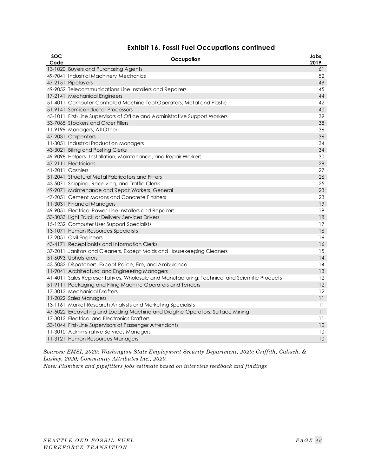| SOC  | Occupation                                                                                    | Jobs, |
|------|-----------------------------------------------------------------------------------------------|-------|
| Code |                                                                                               | 2019  |
|      | 13-1020 Buyers and Purchasing Agents                                                          | 61    |
|      | 49-9041 Industrial Machinery Mechanics                                                        | 52    |
|      | 47-2151 Pipelayers                                                                            | 49    |
|      | 49-9052 Telecommunications Line Installers and Repairers                                      | 45    |
|      | 17-2141 Mechanical Engineers                                                                  | 44    |
|      | 51-4011 Computer-Controlled Machine Tool Operators, Metal and Plastic                         | 42    |
|      | 51-9141 Semiconductor Processors                                                              | 40    |
|      | 43-1011 First-Line Supervisors of Office and Administrative Support Workers                   | 39    |
|      | 53-7065 Stockers and Order Fillers                                                            | 38    |
|      | 11-9199 Managers, All Other                                                                   | 36    |
|      | 47-2031 Carpenters                                                                            | 36    |
|      | 11-3051 Industrial Production Managers                                                        | 34    |
|      | 43-3021 Billing and Posting Clerks                                                            | 34    |
|      | 49-9098 Helpers--Installation, Maintenance, and Repair Workers                                | 30    |
|      | 47-2111 Electricians                                                                          | 28    |
|      | 41-2011 Cashiers                                                                              | 27    |
|      | 51-2041 Structural Metal Fabricators and Fitters                                              | 26    |
|      | 43-5071 Shipping, Receiving, and Traffic Clerks                                               | 25    |
|      | 49-9071 Maintenance and Repair Workers, General                                               | 23    |
|      | 47-2051 Cement Masons and Concrete Finishers                                                  | 23    |
|      | 11-3031 Financial Managers                                                                    | 19    |
|      | 49-9051 Electrical Power-Line Installers and Repairers                                        | 19    |
|      | 53-3033 Light Truck or Delivery Services Drivers                                              | 18    |
|      | 15-1232 Computer User Support Specialists                                                     | 17    |
|      | 13-1071 Human Resources Specialists                                                           | 16    |
|      | 17-2051 Civil Engineers                                                                       | 16    |
|      | 43-4171 Receptionists and Information Clerks                                                  | 16    |
|      | 37-2011 Janitors and Cleaners, Except Maids and Housekeeping Cleaners                         | 15    |
|      | 51-6093 Upholsterers                                                                          | 14    |
|      | 43-5032 Dispatchers, Except Police, Fire, and Ambulance                                       | 14    |
|      | 11-9041 Architectural and Engineering Managers                                                | 13    |
|      | 41-4011 Sales Representatives, Wholesale and Manufacturing, Technical and Scientific Products | 12    |
|      | 51-9111 Packaging and Filling Machine Operators and Tenders                                   | 12    |
|      | 17-3013 Mechanical Drafters                                                                   | 12    |
|      | 11-2022 Sales Managers                                                                        | 11    |
|      | 13-1161 Market Research Analysts and Marketing Specialists                                    | 11    |
|      | 47-5022 Excavating and Loading Machine and Dragline Operators, Surface Mining                 | 11    |
|      | 17-3012 Electrical and Electronics Drafters                                                   | 11    |
|      | 53-1044 First-Line Supervisors of Passenger Attendants                                        | 10    |
|      | 11-3010 Administrative Services Managers                                                      | 10    |
|      | 11-3121 Human Resources Managers                                                              | 10    |

#### **Exhibit 16. Fossil Fuel Occupations continued**

*Sources: EMSI, 2020; Washington State Employment Security Department, 2020; Griffith, Calisch, & Laskey, 2020; Community Attributes Inc., 2020.*

*Note: Plumbers and pipefitters jobs estimate based on interview feedback and findings*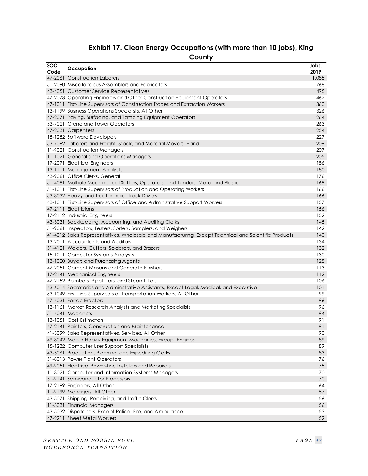# **Exhibit 17. Clean Energy Occupations (with more than 10 jobs), King**

<span id="page-54-0"></span>

| <b>SOC</b><br>Code | Occupation                                                                                           | Jobs,<br>2019 |
|--------------------|------------------------------------------------------------------------------------------------------|---------------|
|                    | 47-2061 Construction Laborers                                                                        | 1,085         |
|                    | 51-2090 Miscellaneous Assemblers and Fabricators                                                     | 768           |
|                    | 43-4051 Customer Service Representatives                                                             | 495           |
|                    | 47-2073 Operating Engineers and Other Construction Equipment Operators                               | 462           |
|                    | 47-1011 First-Line Supervisors of Construction Trades and Extraction Workers                         | 360           |
|                    | 13-1199 Business Operations Specialists, All Other                                                   | 326           |
|                    | 47-2071 Paving, Surfacing, and Tamping Equipment Operators                                           | 264           |
|                    | 53-7021 Crane and Tower Operators                                                                    | 263           |
|                    | 47-2031 Carpenters                                                                                   | 254           |
|                    | 15-1252 Software Developers                                                                          | 227           |
|                    | 53-7062 Laborers and Freight, Stock, and Material Movers, Hand                                       | 209           |
|                    | 11-9021 Construction Managers                                                                        | 207           |
|                    | 11-1021 General and Operations Managers                                                              | 205           |
|                    | 17-2071 Electrical Engineers                                                                         | 186           |
|                    | 13-1111 Management Analysts                                                                          | 180           |
|                    | 43-9061 Office Clerks, General                                                                       | 176           |
|                    | 51-4081 Multiple Machine Tool Setters, Operators, and Tenders, Metal and Plastic                     | 169           |
|                    | 51-1011 First-Line Supervisors of Production and Operating Workers                                   | 166           |
|                    | 53-3032 Heavy and Tractor-Trailer Truck Drivers                                                      | 166           |
|                    | 43-1011 First-Line Supervisors of Office and Administrative Support Workers                          | 157           |
|                    | 47-2111 Electricians                                                                                 | 156           |
|                    | 17-2112 Industrial Engineers                                                                         | 152           |
|                    | 43-3031 Bookkeeping, Accounting, and Auditing Clerks                                                 | 145           |
|                    | 51-9061 Inspectors, Testers, Sorters, Samplers, and Weighers                                         | 142           |
|                    | 41-4012 Sales Representatives, Wholesale and Manufacturing, Except Technical and Scientific Products | 140           |
|                    | 13-2011 Accountants and Auditors                                                                     | 134           |
|                    | 51-4121 Welders, Cutters, Solderers, and Brazers                                                     | 132           |
|                    | 15-1211 Computer Systems Analysts                                                                    | 130           |
|                    | 13-1020 Buyers and Purchasing Agents                                                                 | 128           |
|                    | 47-2051 Cement Masons and Concrete Finishers                                                         | 113           |
|                    | 17-2141 Mechanical Engineers                                                                         | 112           |
|                    | 47-2152 Plumbers, Pipefitters, and Steamfitters                                                      | 106           |
|                    | 43-6014 Secretaries and Administrative Assistants, Except Legal, Medical, and Executive              | 101           |
|                    | 53-1049 First-Line Supervisors of Transportation Workers, All Other                                  | 99            |
|                    | 47-4031 Fence Erectors                                                                               | 96            |
|                    | 13-1161 Market Research Analysts and Marketing Specialists                                           | 96            |
|                    | 51-4041 Machinists                                                                                   | 94            |
|                    | 13-1051 Cost Estimators                                                                              | 91            |
|                    | 47-2141 Painters, Construction and Maintenance                                                       | 91            |
|                    | 41-3099 Sales Representatives, Services, All Other                                                   | 90            |
|                    | 49-3042 Mobile Heavy Equipment Mechanics, Except Engines                                             | 89            |
|                    | 15-1232 Computer User Support Specialists                                                            | 89            |
|                    | 43-5061 Production, Planning, and Expediting Clerks                                                  | 83            |
|                    | 51-8013 Power Plant Operators                                                                        | 76            |
|                    | 49-9051 Electrical Power-Line Installers and Repairers                                               | 75            |
|                    | 11-3021 Computer and Information Systems Managers                                                    | 70            |
|                    | 51-9141 Semiconductor Processors                                                                     | 70            |
|                    | 17-2199 Engineers, All Other                                                                         | 64            |
|                    | 11-9199 Managers, All Other                                                                          | 57            |
|                    | 43-5071 Shipping, Receiving, and Traffic Clerks                                                      | 56            |
|                    | 11-3031 Financial Managers                                                                           | 56            |
|                    | 43-5032 Dispatchers, Except Police, Fire, and Ambulance                                              | 53            |
|                    | 47-2211 Sheet Metal Workers                                                                          | 52            |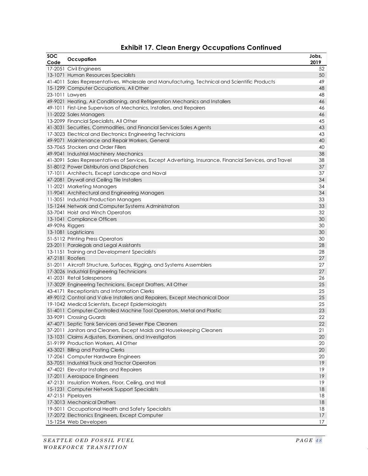|  |  |  | <b>Exhibit 17. Clean Energy Occupations Continued</b> |  |
|--|--|--|-------------------------------------------------------|--|
|--|--|--|-------------------------------------------------------|--|

| <b>SOC</b><br>Code | Occupation                                                                                               | Jobs,<br>2019 |
|--------------------|----------------------------------------------------------------------------------------------------------|---------------|
|                    | 17-2051 Civil Engineers                                                                                  | 52            |
|                    | 13-1071 Human Resources Specialists                                                                      | 50            |
|                    | 41-4011 Sales Representatives, Wholesale and Manufacturing, Technical and Scientific Products            | 49            |
|                    | 15-1299 Computer Occupations, All Other                                                                  | 48            |
|                    | 23-1011 Lawyers                                                                                          | 48            |
|                    | 49-9021 Heating, Air Conditioning, and Refrigeration Mechanics and Installers                            | 46            |
|                    | 49-1011 First-Line Supervisors of Mechanics, Installers, and Repairers                                   | 46            |
|                    | 11-2022 Sales Managers                                                                                   | 46            |
|                    | 13-2099 Financial Specialists, All Other                                                                 | 45            |
|                    | 41-3031 Securities, Commodities, and Financial Services Sales Agents                                     | 43            |
|                    | 17-3023 Electrical and Electronics Engineering Technicians                                               | 43            |
|                    | 49-9071 Maintenance and Repair Workers, General                                                          | 40            |
|                    | 53-7065 Stockers and Order Fillers                                                                       | 40            |
|                    | 49-9041 Industrial Machinery Mechanics                                                                   | 38            |
|                    | 41-3091 Sales Representatives of Services, Except Advertising, Insurance, Financial Services, and Travel | 38            |
|                    | 51-8012 Power Distributors and Dispatchers                                                               | 37            |
|                    | 17-1011 Architects, Except Landscape and Naval                                                           | 37            |
|                    | 47-2081 Drywall and Ceiling Tile Installers                                                              | 34            |
|                    | 11-2021 Marketing Managers                                                                               | 34            |
|                    | 11-9041 Architectural and Engineering Managers                                                           | 34            |
|                    | 11-3051 Industrial Production Managers                                                                   | 33            |
|                    | 15-1244 Network and Computer Systems Administrators                                                      | 33            |
|                    | 53-7041 Hoist and Winch Operators                                                                        | 32            |
|                    | 13-1041 Compliance Officers                                                                              | 30            |
| 49-9096 Riggers    |                                                                                                          | 30            |
|                    | 13-1081 Logisticians                                                                                     | 30            |
|                    | 51-5112 Printing Press Operators                                                                         | 30            |
|                    | 23-2011 Paralegals and Legal Assistants                                                                  | 28            |
|                    | 13-1151 Training and Development Specialists                                                             | 28            |
|                    | 47-2181 Roofers                                                                                          | 27            |
|                    | 51-2011 Aircraft Structure, Surfaces, Rigging, and Systems Assemblers                                    | 27            |
|                    | 17-3026 Industrial Engineering Technicians                                                               | 27            |
|                    | 41-2031 Retail Salespersons                                                                              | 26            |
|                    | 17-3029 Engineering Technicians, Except Drafters, All Other                                              | 25            |
|                    | 43-4171 Receptionists and Information Clerks                                                             | 25            |
|                    | 49-9012 Control and V alve Installers and Repairers, Except Mechanical Door                              | 25            |
|                    | 19-1042 Medical Scientists, Except Epidemiologists                                                       | 25            |
|                    | 51-4011 Computer-Controlled Machine Tool Operators, Metal and Plastic                                    | 23            |
|                    | 33-9091 Crossing Guards                                                                                  | 22            |
|                    | 47-4071 Septic Tank Servicers and Sewer Pipe Cleaners                                                    | 22            |
|                    | 37-2011 Janitors and Cleaners, Except Maids and Housekeeping Cleaners                                    | 21            |
|                    | 13-1031 Claims Adjusters, Examiners, and Investigators                                                   | 20            |
|                    | 51-9199 Production Workers, All Other                                                                    | 20            |
|                    | 43-3021 Billing and Posting Clerks                                                                       | 20            |
|                    | 17-2061 Computer Hardware Engineers                                                                      | 20            |
|                    | 53-7051 Industrial Truck and Tractor Operators                                                           | 19            |
|                    | 47-4021 Elevator Installers and Repairers                                                                | 19            |
|                    | 17-2011 Aerospace Engineers                                                                              | 19            |
|                    | 47-2131 Insulation Workers, Floor, Ceiling, and Wall                                                     | 19            |
|                    | 15-1231 Computer Network Support Specialists                                                             | 18            |
|                    | 47-2151 Pipelayers                                                                                       | 18            |
|                    | 17-3013 Mechanical Drafters                                                                              | 18            |
|                    | 19-5011 Occupational Health and Safety Specialists                                                       | 18            |
|                    | 17-2072 Electronics Engineers, Except Computer                                                           | 17            |
|                    | 15-1254 Web Developers                                                                                   | 17            |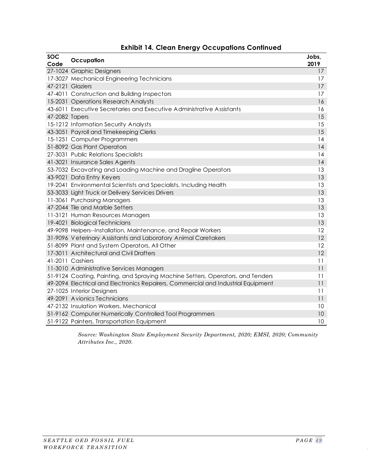| <b>SOC</b><br>Code | Occupation                                                                        | Jobs,<br>2019 |
|--------------------|-----------------------------------------------------------------------------------|---------------|
|                    | 27-1024 Graphic Designers                                                         | 17            |
|                    | 17-3027 Mechanical Engineering Technicians                                        | 17            |
|                    | 47-2121 Glaziers                                                                  | 17            |
|                    | 47-4011 Construction and Building Inspectors                                      | 17            |
|                    | 15-2031 Operations Research Analysts                                              | 16            |
|                    | 43-6011 Executive Secretaries and Executive Administrative Assistants             | 16            |
| 47-2082 Tapers     |                                                                                   | 15            |
|                    | 15-1212 Information Security Analysts                                             | 15            |
|                    | 43-3051 Payroll and Timekeeping Clerks                                            | 15            |
|                    | 15-1251 Computer Programmers                                                      | 14            |
|                    | 51-8092 Gas Plant Operators                                                       | 14            |
|                    | 27-3031 Public Relations Specialists                                              | 14            |
|                    | 41-3021 Insurance Sales Agents                                                    | 14            |
|                    | 53-7032 Excavating and Loading Machine and Dragline Operators                     | 13            |
|                    | 43-9021 Data Entry Keyers                                                         | 13            |
|                    | 19-2041 Environmental Scientists and Specialists, Including Health                | 13            |
|                    | 53-3033 Light Truck or Delivery Services Drivers                                  | 13            |
|                    | 11-3061 Purchasing Managers                                                       | 13            |
|                    | 47-2044 Tile and Marble Setters                                                   | 13            |
|                    | 11-3121 Human Resources Managers                                                  | 13            |
|                    | 19-4021 Biological Technicians                                                    | 13            |
|                    | 49-9098 Helpers--Installation, Maintenance, and Repair Workers                    | 12            |
|                    | 31-9096 Veterinary Assistants and Laboratory Animal Caretakers                    | 12            |
|                    | 51-8099 Plant and System Operators, All Other                                     | 12            |
|                    | 17-3011 Architectural and Civil Drafters                                          | 12            |
|                    | 41-2011 Cashiers                                                                  | 11            |
|                    | 11-3010 Administrative Services Managers                                          | 11            |
|                    | 51-9124 Coating, Painting, and Spraying Machine Setters, Operators, and Tenders   | 11            |
|                    | 49-2094 Electrical and Electronics Repairers, Commercial and Industrial Equipment | 11            |
|                    | 27-1025 Interior Designers                                                        | 11            |
|                    | 49-2091 Avionics Technicians                                                      | 11            |
|                    | 47-2132 Insulation Workers, Mechanical                                            | 10            |
|                    | 51-9162 Computer Numerically Controlled Tool Programmers                          | 10            |
|                    | 51-9122 Painters, Transportation Equipment                                        | 10            |

#### **Exhibit 14. Clean Energy Occupations Continued**

*Source: Washington State Employment Security Department, 2020; EMSI, 2020; Community Attributes Inc., 2020.*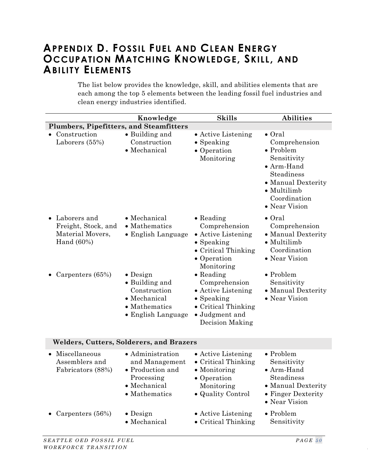# <span id="page-57-0"></span>**APPENDIX D. FOSSIL FUEL AND CLEAN ENERGY OCCUPATION MATCHING KNOWLEDGE, SKILL, AND ABILITY ELEMENTS**

The list below provides the knowledge, skill, and abilities elements that are each among the top 5 elements between the leading fossil fuel industries and clean energy industries identified.

|                                                                                       | Knowledge                                                                                                 | <b>Skills</b>                                                                                                                      | <b>Abilities</b>                                                                                                                                                              |  |  |
|---------------------------------------------------------------------------------------|-----------------------------------------------------------------------------------------------------------|------------------------------------------------------------------------------------------------------------------------------------|-------------------------------------------------------------------------------------------------------------------------------------------------------------------------------|--|--|
| Plumbers, Pipefitters, and Steamfitters                                               |                                                                                                           |                                                                                                                                    |                                                                                                                                                                               |  |  |
| Construction<br>Laborers (55%)                                                        | • Building and<br>Construction<br>• Mechanical                                                            | • Active Listening<br>• Speaking<br>• Operation<br>Monitoring                                                                      | $\bullet$ Oral<br>Comprehension<br>$\bullet$ Problem<br>Sensitivity<br>• Arm-Hand<br>Steadiness<br>• Manual Dexterity<br>$\bullet$ Multilimb<br>Coordination<br>• Near Vision |  |  |
| Laborers and<br>$\bullet$<br>Freight, Stock, and<br>Material Movers,<br>Hand $(60\%)$ | • Mechanical<br>• Mathematics<br>• English Language                                                       | $\bullet$ Reading<br>Comprehension<br>• Active Listening<br>$\bullet$ Speaking<br>• Critical Thinking<br>• Operation<br>Monitoring | $\bullet$ Oral<br>Comprehension<br>• Manual Dexterity<br>$\bullet$ Multilimb<br>Coordination<br>• Near Vision                                                                 |  |  |
| Carpenters (65%)                                                                      | $\bullet$ Design<br>• Building and<br>Construction<br>• Mechanical<br>• Mathematics<br>• English Language | $\bullet$ Reading<br>Comprehension<br>• Active Listening<br>• Speaking<br>• Critical Thinking<br>• Judgment and<br>Decision Making | $\bullet$ Problem<br>Sensitivity<br>• Manual Dexterity<br>• Near Vision                                                                                                       |  |  |
| Welders, Cutters, Solderers, and Brazers                                              |                                                                                                           |                                                                                                                                    |                                                                                                                                                                               |  |  |
| Miscellaneous<br>Assemblers and<br>Fabricators (88%)                                  | • Administration<br>and Management<br>• Production and<br>Processing<br>• Mechanical<br>• Mathematics     | • Active Listening<br>• Critical Thinking<br>• Monitoring<br>• Operation<br>Monitoring<br>• Quality Control                        | $\bullet$ Problem<br>Sensitivity<br>• Arm-Hand<br>Steadiness<br>• Manual Dexterity<br>• Finger Dexterity<br>• Near Vision                                                     |  |  |
| Carpenters (56%)                                                                      | $\bullet$ Design<br>• Mechanical                                                                          | • Active Listening<br>• Critical Thinking                                                                                          | • Problem<br>Sensitivity                                                                                                                                                      |  |  |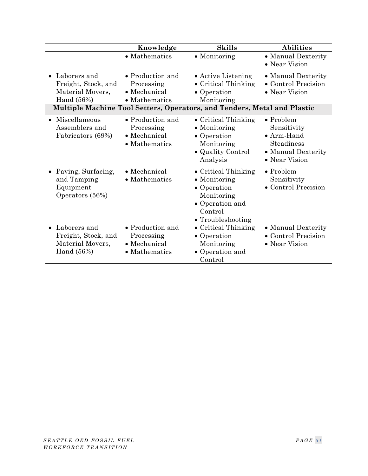|                                                                           | Knowledge                                                       | <b>Skills</b>                                                                                                                                      | <b>Abilities</b>                                                                                            |
|---------------------------------------------------------------------------|-----------------------------------------------------------------|----------------------------------------------------------------------------------------------------------------------------------------------------|-------------------------------------------------------------------------------------------------------------|
|                                                                           | • Mathematics                                                   | • Monitoring                                                                                                                                       | • Manual Dexterity<br>• Near Vision                                                                         |
| • Laborers and<br>Freight, Stock, and<br>Material Movers,<br>Hand $(56%)$ | • Production and<br>Processing<br>• Mechanical<br>• Mathematics | • Active Listening<br>• Critical Thinking<br>• Operation<br>Monitoring<br>Multiple Machine Tool Setters, Operators, and Tenders, Metal and Plastic | • Manual Dexterity<br>• Control Precision<br>• Near Vision                                                  |
| Miscellaneous<br>$\bullet$<br>Assemblers and<br>Fabricators (69%)         | • Production and<br>Processing<br>• Mechanical<br>• Mathematics | • Critical Thinking<br>• Monitoring<br>• Operation<br>Monitoring<br>· Quality Control<br>Analysis                                                  | $\bullet$ Problem<br>Sensitivity<br>$\bullet$ Arm-Hand<br>Steadiness<br>• Manual Dexterity<br>• Near Vision |
| • Paving, Surfacing,<br>and Tamping<br>Equipment<br>Operators (56%)       | • Mechanical<br>• Mathematics                                   | • Critical Thinking<br>$\bullet$ Monitoring<br>• Operation<br>Monitoring<br>• Operation and<br>Control<br>• Troubleshooting                        | $\bullet$ Problem<br>Sensitivity<br>• Control Precision                                                     |
| • Laborers and<br>Freight, Stock, and<br>Material Movers,<br>Hand $(56%)$ | • Production and<br>Processing<br>• Mechanical<br>• Mathematics | • Critical Thinking<br>• Operation<br>Monitoring<br>• Operation and<br>Control                                                                     | • Manual Dexterity<br>• Control Precision<br>• Near Vision                                                  |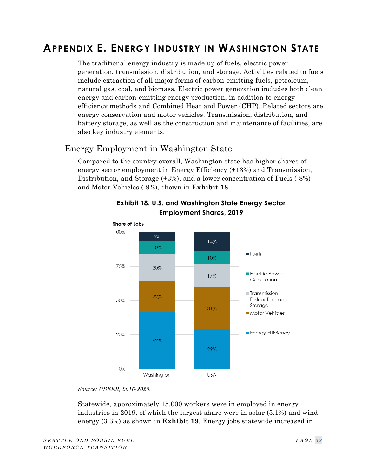# <span id="page-59-0"></span>**APPENDIX E. ENERGY INDUSTRY IN WASHINGTON STATE**

The traditional energy industry is made up of fuels, electric power generation, transmission, distribution, and storage. Activities related to fuels include extraction of all major forms of carbon-emitting fuels, petroleum, natural gas, coal, and biomass. Electric power generation includes both clean energy and carbon-emitting energy production, in addition to energy efficiency methods and Combined Heat and Power (CHP). Related sectors are energy conservation and motor vehicles. Transmission, distribution, and battery storage, as well as the construction and maintenance of facilities, are also key industry elements.

## Energy Employment in Washington State

<span id="page-59-1"></span>Compared to the country overall, Washington state has higher shares of energy sector employment in Energy Efficiency (+13%) and Transmission, Distribution, and Storage (+3%), and a lower concentration of Fuels (-8%) and Motor Vehicles (-9%), shown in **[Exhibit 18](#page-59-1)**.



#### **Exhibit 18. U.S. and Washington State Energy Sector Employment Shares, 2019**

*Source: USEER, 2016-2020.*

Statewide, approximately 15,000 workers were in employed in energy industries in 2019, of which the largest share were in solar (5.1%) and wind energy (3.3%) as shown in **[Exhibit 19](#page-60-0)**. Energy jobs statewide increased in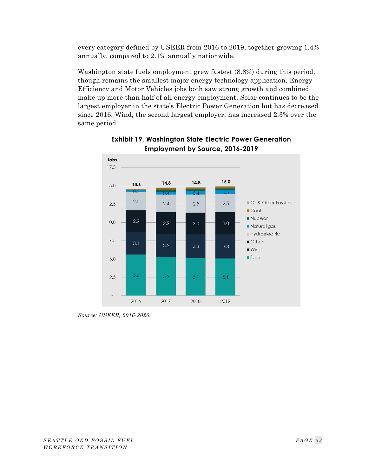every category defined by USEER from 2016 to 2019, together growing 1.4% annually, compared to 2.1% annually nationwide.

Washington state fuels employment grew fastest (8.8%) during this period, though remains the smallest major energy technology application. Energy Efficiency and Motor Vehicles jobs both saw strong growth and combined make up more than half of all energy employment. Solar continues to be the largest employer in the state's Electric Power Generation but has decreased since 2016. Wind, the second largest employer, has increased 2.3% over the same period.

<span id="page-60-0"></span>



*Source: USEER, 2016-2020.*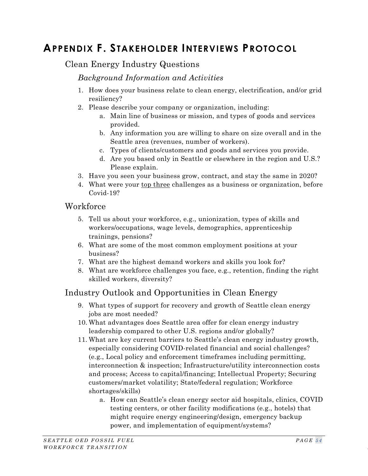# <span id="page-61-0"></span>**APPENDIX F. STAKEHOLDER INTERVIEWS PROTOCOL**

## Clean Energy Industry Questions

#### *Background Information and Activities*

- 1. How does your business relate to clean energy, electrification, and/or grid resiliency?
- 2. Please describe your company or organization, including:
	- a. Main line of business or mission, and types of goods and services provided.
	- b. Any information you are willing to share on size overall and in the Seattle area (revenues, number of workers).
	- c. Types of clients/customers and goods and services you provide.
	- d. Are you based only in Seattle or elsewhere in the region and U.S.? Please explain.
- 3. Have you seen your business grow, contract, and stay the same in 2020?
- 4. What were your top three challenges as a business or organization, before Covid-19?

#### **Workforce**

- 5. Tell us about your workforce, e.g., unionization, types of skills and workers/occupations, wage levels, demographics, apprenticeship trainings, pensions?
- 6. What are some of the most common employment positions at your business?
- 7. What are the highest demand workers and skills you look for?
- 8. What are workforce challenges you face, e.g., retention, finding the right skilled workers, diversity?

## Industry Outlook and Opportunities in Clean Energy

- 9. What types of support for recovery and growth of Seattle clean energy jobs are most needed?
- 10. What advantages does Seattle area offer for clean energy industry leadership compared to other U.S. regions and/or globally?
- 11. What are key current barriers to Seattle's clean energy industry growth, especially considering COVID-related financial and social challenges? (e.g., Local policy and enforcement timeframes including permitting, interconnection & inspection; Infrastructure/utility interconnection costs and process; Access to capital/financing; Intellectual Property; Securing customers/market volatility; State/federal regulation; Workforce shortages/skills)
	- a. How can Seattle's clean energy sector aid hospitals, clinics, COVID testing centers, or other facility modifications (e.g., hotels) that might require energy engineering/design, emergency backup power, and implementation of equipment/systems?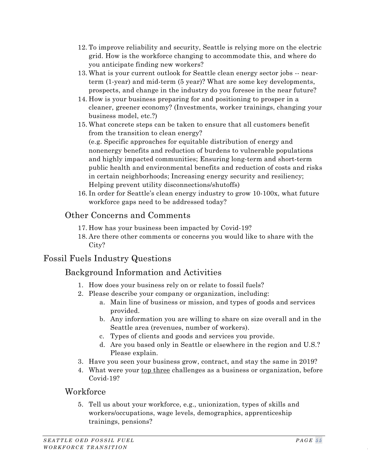- 12. To improve reliability and security, Seattle is relying more on the electric grid. How is the workforce changing to accommodate this, and where do you anticipate finding new workers?
- 13. What is your current outlook for Seattle clean energy sector jobs -- nearterm (1-year) and mid-term (5 year)? What are some key developments, prospects, and change in the industry do you foresee in the near future?
- 14. How is your business preparing for and positioning to prosper in a cleaner, greener economy? (Investments, worker trainings, changing your business model, etc.?)
- 15. What concrete steps can be taken to ensure that all customers benefit from the transition to clean energy?

(e.g. Specific approaches for equitable distribution of energy and nonenergy benefits and reduction of burdens to vulnerable populations and highly impacted communities; Ensuring long-term and short-term public health and environmental benefits and reduction of costs and risks in certain neighborhoods; Increasing energy security and resiliency; Helping prevent utility disconnections/shutoffs)

16. In order for Seattle's clean energy industry to grow 10-100x, what future workforce gaps need to be addressed today?

# Other Concerns and Comments

- 17. How has your business been impacted by Covid-19?
- 18. Are there other comments or concerns you would like to share with the City?

# Fossil Fuels Industry Questions

# Background Information and Activities

- 1. How does your business rely on or relate to fossil fuels?
- 2. Please describe your company or organization, including:
	- a. Main line of business or mission, and types of goods and services provided.
	- b. Any information you are willing to share on size overall and in the Seattle area (revenues, number of workers).
	- c. Types of clients and goods and services you provide.
	- d. Are you based only in Seattle or elsewhere in the region and U.S.? Please explain.
- 3. Have you seen your business grow, contract, and stay the same in 2019?
- 4. What were your top three challenges as a business or organization, before Covid-19?

## **Workforce**

5. Tell us about your workforce, e.g., unionization, types of skills and workers/occupations, wage levels, demographics, apprenticeship trainings, pensions?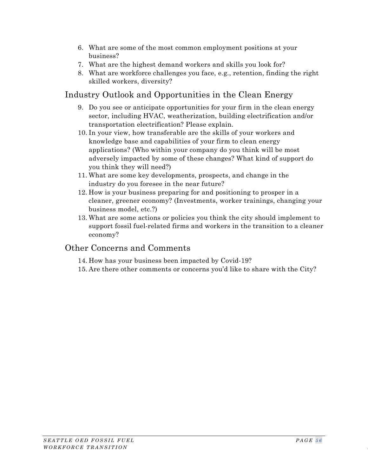- 6. What are some of the most common employment positions at your business?
- 7. What are the highest demand workers and skills you look for?
- 8. What are workforce challenges you face, e.g., retention, finding the right skilled workers, diversity?

## Industry Outlook and Opportunities in the Clean Energy

- 9. Do you see or anticipate opportunities for your firm in the clean energy sector, including HVAC, weatherization, building electrification and/or transportation electrification? Please explain.
- 10. In your view, how transferable are the skills of your workers and knowledge base and capabilities of your firm to clean energy applications? (Who within your company do you think will be most adversely impacted by some of these changes? What kind of support do you think they will need?)
- 11. What are some key developments, prospects, and change in the industry do you foresee in the near future?
- 12. How is your business preparing for and positioning to prosper in a cleaner, greener economy? (Investments, worker trainings, changing your business model, etc.?)
- 13. What are some actions or policies you think the city should implement to support fossil fuel-related firms and workers in the transition to a cleaner economy?

## Other Concerns and Comments

- 14. How has your business been impacted by Covid-19?
- 15. Are there other comments or concerns you'd like to share with the City?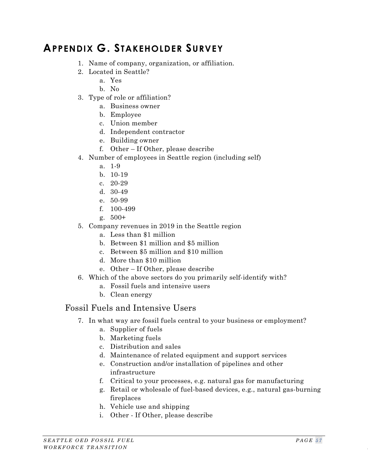# <span id="page-64-0"></span>**APPENDIX G. STAKEHOLDER SURVEY**

- 1. Name of company, organization, or affiliation.
- 2. Located in Seattle?
	- a. Yes
	- b. No
- 3. Type of role or affiliation?
	- a. Business owner
	- b. Employee
	- c. Union member
	- d. Independent contractor
	- e. Building owner
	- f. Other If Other, please describe
- 4. Number of employees in Seattle region (including self)
	- a. 1-9
	- b. 10-19
	- c. 20-29
	- d. 30-49
	- e. 50-99
	- f. 100-499
	- g. 500+
- 5. Company revenues in 2019 in the Seattle region
	- a. Less than \$1 million
	- b. Between \$1 million and \$5 million
	- c. Between \$5 million and \$10 million
	- d. More than \$10 million
	- e. Other If Other, please describe
- 6. Which of the above sectors do you primarily self-identify with?
	- a. Fossil fuels and intensive users
	- b. Clean energy

## Fossil Fuels and Intensive Users

- 7. In what way are fossil fuels central to your business or employment?
	- a. Supplier of fuels
	- b. Marketing fuels
	- c. Distribution and sales
	- d. Maintenance of related equipment and support services
	- e. Construction and/or installation of pipelines and other infrastructure
	- f. Critical to your processes, e.g. natural gas for manufacturing
	- g. Retail or wholesale of fuel-based devices, e.g., natural gas-burning fireplaces
	- h. Vehicle use and shipping
	- i. Other If Other, please describe